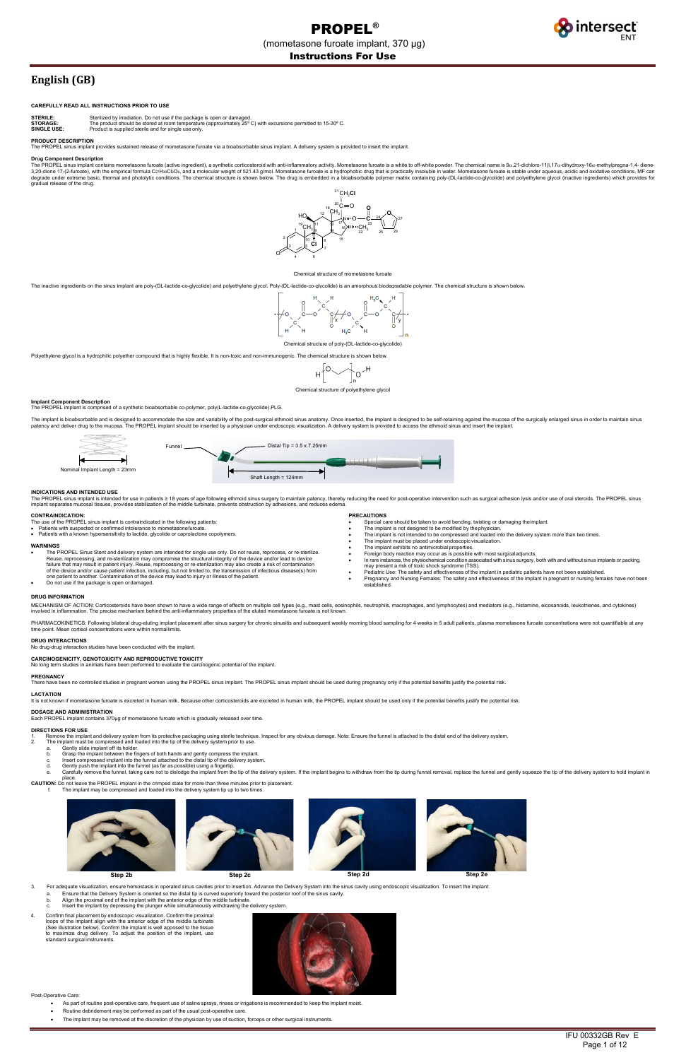

# **English (GB)**

## **CAREFULLY READ ALL INSTRUCTIONS PRIOR TO USE**

**STERILE:** Sterilized by irradiation. Do not use if the package is open or damaged. **STORAGE:** The product should be stored at room temperature (approximately 25º C) with excursions permitted to 15-30º C.

**SINGLE USE:** Product is supplied sterile and for single use only

## **PRODUCT DESCRIPTION**

The PROPEL sinus implant provides sustained release of mometasone furoate via a bioabsorbable sinus implant. A delivery system is provided to insert the implant.

## **Drug Component Description**

The PROPEL sinus implant contains mometasone furoate (active ingredient), a synthetic corticosteroid with anti-inflammatory activity. Mometasone furoate is a white to off-white powder. The chemical name is 9α,21-dichloro-1 degrade under extreme basic, thermal and photolytic conditions. The chemical structure is shown below. The drug is embedded in a bioabsorbable polymer matrix containing poly-(DL-lactide-co-glycolide) and polyethylene glyco

#### Chemical structure of mometasone furoate

The inactive ingredients on the sinus implant are poly-(DL-lactide-co-glycolide) and polyethylene glycol. Poly-(DL-lactide-co-glycolide) is an amorphous biodegradable polymer. The chemical structure is shown below



Chemical structure of poly-(DL-lactide-co-glycolide)

Polyethylene glycol is a hydrophilic polyether compound that is highly flexible. It is non-toxic and non-immunogenic. The chemical structure is shown below



**Implant Component Description**<br>The PROPEL implant is comprised of a synthetic bioabsorbable co-polymer, poly(L-lactide-co-glycolide),PLG.

The implant is bioabsorbable and is designed to accommodate the size and variability of the post-surgical ethmoid sinus anatomy. Once inserted, the implant is designed to be self-retaining against the mucosa of the surgica patency and deliver drug to the mucosa. The PROPEL implant should be inserted by a physician under endoscopic visualization. A delivery system is provided to access the ethmoid sinus and insert the implant.

#### **INDICATIONS AND INTENDED USE**

The PROPEL sinus implant is intended for use in patients ≥ 18 years of age following ethmoid sinus surgery to maintain patency, thereby reducing the need for post-operative intervention such as surgical adhesion lysis and

PHARMACOKINETICS: Following bilateral drug-eluting implant placement after sinus surgery for chronic sinustiis and subsequent weekly morning blood sampling for 4 weeks in 5 adult patients, plasma mometasone furoate concent time point. Mean cortisol concentrations were within normallimits.

## **CONTRAINDICATION:**

The use of the PROPEL sinus implant is contraindicated in the following patients: • Patients with suspected or confirmed intolerance to mometasonefuroate.

- 
- Patients with a known hypersensitivity to lactide, glycolide or caprolactone copolymers.

- 2. The implant must be compressed and loaded into the tip of the delivery system prior to use. a. Gently slide implant off its holder.
	- b. Grasp the implant between the fingers of both hands and gently compress the implant.
	-
	- c. Insert compressed implant into the funnel attached to the distal tip of the delivery system. Gently push the implant into the funnel (as far as possible) using a fingertip.
	- e. Carefully remove the funnel, taking care not to dislodge the implant from the tip of the delivery system. If the implant begins to withdraw from the tip during funnel removal, replace the funnel and gently squeeze the t

- The implant is not designed to be modified by the physician.
- The implant is not intended to be compressed and loaded into the delivery system more than two times.
- The implant must be placed under endoscopic visualization
- 
- 
- Pediatric Use: The safety and effectiveness of the implant in pediatric patients have not been established.<br>● Pregnancy and Nursing Females: The safety and effectiveness of the implant in pregnant or nursing females

place.<br>**CAUTION:** Do not leave the PROPEL implant in the crimped state for more than three minutes prior to placement.<br>f. The implant may be compressed and loaded into the delivery system tip up to two times.

## **WARNINGS**

● The PROPEL Sinus Stent and delivery system are intended for single use only. Do not reuse, reprocess, or re-sterilize.<br>Reuse, reprocessing, and re-sterilization may compromise the structural integrity of the device and/ of the device and/or cause patient infection, including, but not limited to, the transmission of infectious disease(s) from<br>one patient to another. Contamination of the device may lead to injury or illness of the patient.

• Do not use if the package is open ordamaged.

#### **PRECAUTIONS**

- Special care should be taken to avoid bending, twisting or damaging the implant.
- 
- 
- 
- The implant exhibits no antimicrobial properties. Foreign body reaction may occur as is possible with most surgicaladjuncts.
- In rare instances, the physiochemical condition associated with sinus surgery, both with and without sinus implants or packing, may present a risk of toxic shock syndrome (TSS).
- 

#### **DRUG INFORMATION**

MECHANISM OF ACTION: Corticosteroids have been shown to have a wide range of effects on multiple cell types (e.g., mast cells, eosinophils, neutrophils, macrophages, and lymphocytes) and mediators (e.g., histamine, eicosan

#### **DRUG INTERACTIONS**

No drug-drug interaction studies have been conducted with the implant.

# **CARCINOGENICITY, GENOTOXICITY AND REPRODUCTIVE TOXICITY**

ies in animals have been performed to evaluate the carcinogenic potential of the implant.



## **PREGNANCY**

There have been no controlled studies in pregnant women using the PROPEL sinus implant. The PROPEL sinus implant should be used during pregnancy only if the potential benefits justify the potential risk.

## **LACTATION**

It is not known if mometasone furoate is excreted in human milk. Because other corticosteroids are excreted in human milk, the PROPEL implant should be used only if the potential benefits justify the potential risk.

## **DOSAGE AND ADMINISTRATION**

Each PROPEL implant contains 370µg of mometasone furoate which is gradually released over time

## **DIRECTIONS FOR USE**

1. Remove the implant and delivery system from its protective packaging using sterile technique. Inspect for any obvious damage. Note: Ensure the funnel is attached to the distal end of the delivery system.<br>2. The implant



- 3. For adequate visualization, ensure hemostasis in operated sinus cavities prior to insertion. Advance the Delivery System into the sinus cavity using endoscopic visualization. To insert the implant:
	- a. Ensure that the Delivery System is oriented so the distal tip is curved superiorly toward the posterior roof of the sinus cavity.
	- b. Align the proximal end of the implant with the anterior edge of the middle turbinate.
	- Insert the implant by depressing the plunger while simultaneously withdrawing the delivery system.
- 4. Confirm final placement by endoscopic visualization. Confirm the proximal loops of the implant align with the anterior edge of the middle turbinate<br>(See illustration below). Confirm the implant is well apposed to the tissue<br>to maximize drug delivery. To adjust the position of the implant, use standard surgical instruments.



Post-Operative Care:

- As part of routine post-operative care, frequent use of saline sprays, rinses or irrigations is recommended to keep the implant moist.
- Routine debridement may be performed as part of the usual post-operative care.
- The implant may be removed at the discretion of the physician by use of suction, forceps or other surgical instruments.

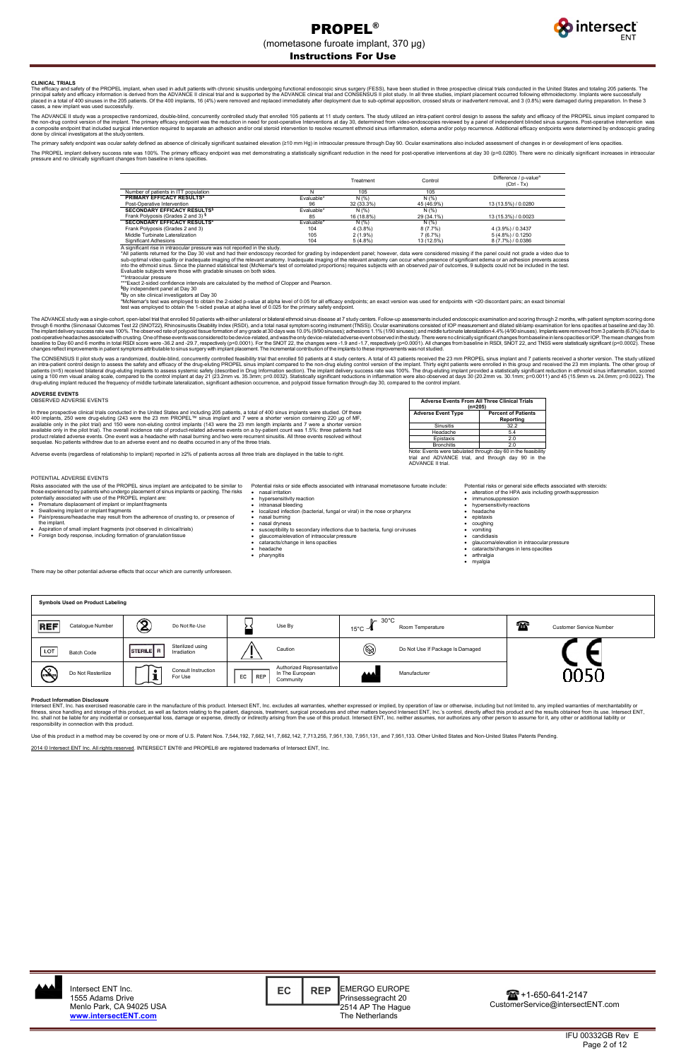

IFU 00332GB Rev E Page 2 of 12

# Instructions For Use

#### **CLINICAL TRIALS**

The efficacy and safety of the PROPEL implant, when used in adult patients with chronic sinusitis undergoing functional endoscopic sinus surgery (FESS), have been studied in three prospective clinical trials conducted in t cases, a new implant was used successfully.

The ADVANCE II study was a prospective randomized, double-blind, concurrently conturently controlled study that enrolled 105 patients at 11 study centers. The study utilized an intra-patient control design to assess the sa done by clinical investigators at the studycenters.

The primary safety endpoint was ocular safety defined as absence of clinically significant sustained elevation (≥10 mm Hg) in intraocular pressure through Day 90. Ocular examinations also included assessment of changes in

The PROPEL implant delivery success rate was 100%. The primary efficacy endpoint was met demonstrating a statistically significant reduction in the need for post-operative interventions at day 30 (p=0.0280). There were no pressure and no clinically significant changes from baseline in lens opacities

> Significant Adhesions 8 (7.7%) / 0.0386<br>
> A significant rise in intraocular pressure was not reported in the study.<br>
> A significant rise in intraocular pressure was not reported in the study.<br>
> A significant rise in intraocul Evaluable subjects were those with gradable sinuses on both sides.

\*\*Intraocular pressure<br>\*\*\*Exact 2-sided confidence intervals are calculated by the method of Clopper and Pearson.<br>§<u>Ry independent papel at Dav 30</u>

\*By on site clinical investigators at Day 30<br>ªMcNemar's test was employed to obtain the 2-sided p-value at alpha level of 0.05 for all efficacy endpoints; an exact version was used for endpoints with <20 discordant pairs test was employed to obtain the 1-sided pvalue at alpha level of 0.025 for the primary safety endpoint.

|                                               |            | Treatment  | Control    | Difference / p-value <sup>a</sup><br>$(CtrI - Tx)$ |
|-----------------------------------------------|------------|------------|------------|----------------------------------------------------|
| Number of patients in ITT population          |            | 105        | 105        |                                                    |
| <b>PRIMARY EFFICACY RESULTS<sup>§</sup></b>   | Evaluable* | N(%)       | N(% )      |                                                    |
| Post-Operative Intervention                   | 96         | 32 (33.3%) | 45 (46.9%) | 13 (13.5%) / 0.0280                                |
| <b>SECONDARY EFFICACY RESULTS<sup>§</sup></b> | Evaluable* | N(% )      | N(% )      |                                                    |
| Frank Polyposis (Grades 2 and 3) <sup>§</sup> | 85         | 16 (18.8%) | 29 (34.1%) | 13 (15.3%) / 0.0023                                |
| SECONDARY EFFICACY RESULTS <sup>#</sup>       | Evaluable* | N(% )      | N(% )      |                                                    |
| Frank Polyposis (Grades 2 and 3)              | 104        | $4(3.8\%)$ | 8(7.7%)    | 4 (3.9%) / 0.3437                                  |
| Middle Turbinate Lateralization               | 105        | $2(1.9\%)$ | 7(6.7%)    | $5(4.8\%)/0.1250$                                  |
| <b>Significant Adhesions</b>                  | 104        | $5(4.8\%)$ | 13 (12.5%) | 8 (7.7%) / 0.0386                                  |

The ADVANCE study was a single-cohort, open-label trial that enrolled 50 patients with either unilateral or bilateral ethmoid sinus disease at 7 study centers. Follow-up assessments included endoscopic examination and scor changes reflect improvements in patient symptoms attributable to sinus surgery with implant placement. The incremental contribution of the implants to these improvements was not studied.

The CONSENSUS II pilot study was a randomized, double-blind, concurrently controlled feasibility trial that enrolled 50 patients at 4 study centers. A total of 43 patients received the 23 mm PROPEL sinus implant and 7 pati patients (n=5) received bilateral drug-eluting implants to assess systemic safety (described in Drug Information section). The implant delivery success rate was 100%. The drug-eluting implant provided a statistically sign

By independent panel at Day 30

hypersensitivity reaction • intranasal bleeding

Intersect ENT, Inc. has exercised reasonable care in the manufacture of this product. Intersect ENT, Inc. excludes all warranties, whether expressed or implied, by operation of law or otherwise, including but not limited t responsibility in connection with this product.

#### **ADVERSE EVENTS** OBSERVED ADVERSE EVENTS

In three prospective clinical trials conducted in the United States and including 205 patients, a total of 400 sinus implants were studied. Of these<br>400 implants, 250 were drug-eluting (243 were the 23 mm PROPEL™ sinus im available only in the pilot trial). The overall incidence rate of product-related adverse events on a by-patient count was 1.5%: three patients had<br>product related adverse events. One event was a headache with nasal burnin

Adverse events (regardless of relationship to implant) reported in ≥2% of patients across all three trials are displayed in the table to right.

| <b>Adverse Events From All Three Clinical Trials</b><br>$(n=205)$ |                                         |  |  |
|-------------------------------------------------------------------|-----------------------------------------|--|--|
| <b>Adverse Event Type</b>                                         | <b>Percent of Patients</b><br>Reporting |  |  |
| <b>Sinusitis</b>                                                  | 32.2                                    |  |  |
| Headache                                                          | 5.4                                     |  |  |
| Epistaxis                                                         | 2.0                                     |  |  |
| <b>Bronchitis</b>                                                 | 2.0                                     |  |  |
| Note: Events were tabulated through day 60 in the feasibility     |                                         |  |  |

ADVANCE trial, and through day 90 in the Inai and ADVAN<br>ADVANCE II trial.

## POTENTIAL ADVERSE EVENTS

- potentially associated with use of the PROPEL implant are: Premature displacement of implant or implantfragments
- Swallowing implant or implant fragments
- Pain/pressure/headache may result from the adherence of crusting to, or presence of
- the implant. • Aspiration of small implant fragments (not observed in clinicaltrials) • Foreign body response, including formation of granulation tissue
- 

Risks associated with the use of the PROPEL sinus implant are anticipated to be similar to those experienced by patients who undergo placement of sinus implants or packing. The risks Potential risks or side effects associated with intranasal mometasone furoate include: • nasal irritation

- localized infection (bacterial, fungal or viral) in the nose orpharynx
- nasal burning
- nasal dryness
- susceptibility to secondary infections due to bacteria, fungi or viruses • glaucoma/elevation of intraocular pressure
- cataracts/change in lens opacities
- headache
- pharyngitis

There may be other potential adverse effects that occur which are currently unfores

Potential risks or general side effects associated with steroids:

- alteration of the HPA axis including growthsuppression
	- immunosuppression
	- hypersensitivity reactions<br>• headache • headache
	- epistaxis<br>• coughing
- coughing
- vomiting
- candidiasis • glaucoma/elevation in intraocular pressure
- cataracts/changes in lens opacities<br>• arthralgia
- arthralgia
- myalgia

#### **Product Information Disclosure**

| <b>Symbols Used on Product Labeling</b> |                                              |                                                                               |                                                                   |                                     |
|-----------------------------------------|----------------------------------------------|-------------------------------------------------------------------------------|-------------------------------------------------------------------|-------------------------------------|
| <b>REF</b><br>Catalogue Number          | $\mathbf{\widehat{2}}$<br>Do Not Re-Use      | Use By                                                                        | $\triangleright$ 30 $^{\circ}$ C<br>Room Temperature<br>15°C $-1$ | ₩<br><b>Customer Service Number</b> |
| LOT<br><b>Batch Code</b>                | Sterilized using<br>STERILE R<br>Irradiation | Caution                                                                       | $^{\circledR}$<br>Do Not Use If Package Is Damaged                |                                     |
| <b>RANGE</b><br>Do Not Resterilize      | <b>Consult Instruction</b><br>For Use        | Authorized Representative<br>In The European<br>EC<br><b>REP</b><br>Community | <b>AAA</b><br>Manufacturer                                        | nnan                                |

Use of this product in a method may be covered by one or more of U.S. Patent Nos. 7,544,192, 7,662,141, 7,662,142, 7,713,255, 7,951,130, 7,951,131, and 7,951,133. Other United States and Non-United States Patents Pending.

2014 © Intersect ENT Inc. All rights reserved. INTERSECT ENT® and PROPEL® are registered trademarks of Intersect ENT, Inc.

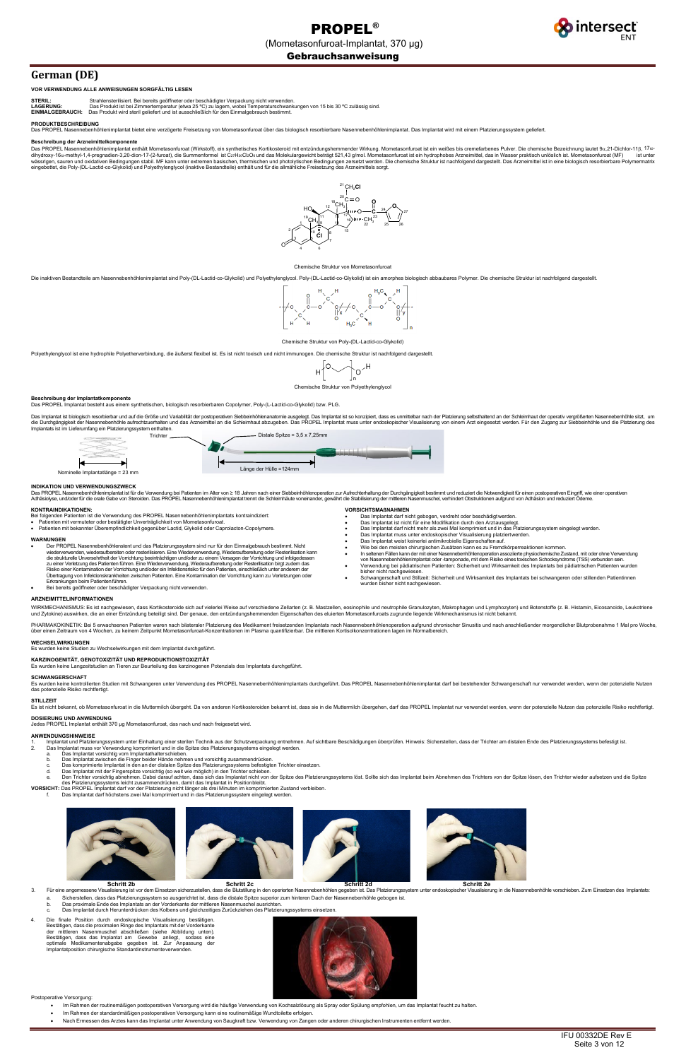intersect<sup>®</sup>

# Gebrauchsanweisung

# **German (DE)**

## **VOR VERWENDUNG ALLE ANWEISUNGEN SORGFÄLTIG LESEN**

| <b>STERIL:</b>             | Strahlensterilisiert. Bei bereits geöffneter oder beschädigter Verpackung nicht verwenden                  |
|----------------------------|------------------------------------------------------------------------------------------------------------|
| <b>LAGERUNG:</b>           | Das Produkt ist bei Zimmertemperatur (etwa 25 °C) zu lagern, wobei Temperaturschwank                       |
| <b>FILISIAL OFBBALLOLL</b> | The comparable industry and control of the comparable Altaba Asia in The control constructs to category to |

.<br>algebrauch bestimmt.<br>algebrauch bestimmt. **LGEBRAUCH:** Das Produkt wird steril geliefert und ist ausschließlich für den Einm

## **PRODUKTBESCHREIBUNG**

nimplantat bietet eine verzögerte Freisetzung von Mometasonfuroat über das biologisch resorbierbare Nasennebenhöhlenimplantat. Das Implantat wird mit einem Platzierungssystem geliefert.

### **Beschreibung der Arzneimittelkomponente**

Das PROPEL Nasennebenhöhlenimplantat enthält Mometasonfuroat (Wirkstoff), ein synthetisches Kortikosteroid mit entzündungshemmender Wirkung. Mometasonfuroat ist ein weißes bis cremefarbenes Pulver. Die chemische Bezeichnun dihydroxy-16α-methyl-1,4-pregnadien-3,20-dion-17-(2-furoat), die Summenformel ist CzrH30Cl2O8 und das Molekulargewicht beträgt 521,43 g/mol. Mometasonfuroat ist ein hydrophobes Arzneimittel, das in Wasser praktisch unlösli eingebettet, die Poly-(DL-Lactid-co-Glykolid) und Polyethylenglycol (inaktive Bestandteile) enthält und für die allmähliche Freisetzung des Arzneimittels sorgt.

## Chemische Struktur von Poly-(DL-Lactid-co-Glykolid)

Polyethylenglycol ist eine hydrophile Polyetherverbindung, die äußerst flexibel ist. Es ist nicht toxisch und nicht immunogen. Die chemische Struktur ist nachfolgend dargestellt.

$$
H \left[ \bigotimes_{n \leq n} P \right]_{n}^{1} \circ H
$$

# **Beschreibung der Implantatkomponente**

Das PROPEL Implantat besteht aus einem synthetischen, biologisch resorbierbaren Copolymer, Poly-(L-Lactid-co-Glykolid) bzw. PLG.

Das Implantat ist biologisch resorbierbar und auf die Größe und Variabilität der postoperativen Siebbeinhöhlenanatomie ausgelegt. Das Implantat ist so konzipiert, dass es unmittelbar nach der Platzierung selbsthaltend an d

#### **INDIKATION UND VERWENDUNGSZWECK**

Das PROPEL Nasennebenhöhlenimplantat ist für die Verwendung bei Patienten im Alter von ≥ 18 Jahren nach einer Siebbeinhöhlenoperation zur Aufrechterhaltung der Durchgängigkeit bestimmt und reduziert die Notwendigkeit für

### **KONTRAINDIKATIONEN:**

Bei folgenden Patienten ist die Verwendung des PROPEL Nasennebenhöhlenimplantats kontraindiziert:<br>● Patienten mit vermuteter oder bestätigter Unverträglichkeit von Mometasonfuroat.

Es wurden keine kontrollierten Studien mit Schwangeren unter Verwendung des PROPEL Nasennebenhöhlenimplantats durchgeführt. Das PROPEL Nasennebenhöhlenimplantat darf bei bestehender Schwangerschaft nur verwendet werden, we das potenzielle Risiko rechtfertigt.

- 
- Patienten mit bekannter Überempfindlichkeit gegenüber Lactid, Glykolid oder Caprolacton-Copolymere.

## **WARNUNGEN**

- 1. Implantat und Platzierungssystem unter Einhaltung einer sterilen Technik aus der Schutzverpackung entnehmen. Auf sichtbare Beschädigungen überprüfen. Hinweis: Sicherstellen, dass der Trichter am distalen Ende des Platzi
- 
- 
- b. Das Implantat zwischen die Finger beider Hände nehmen und vorsichtig zusammendrücken.
- 
- c. Das komprimierte Implantat in den an der distalen Spitze des Platzierungssystems befestigten Trichter einsetzen. d. Das Implantat mit der Fingerspitze vorsichtig (so weit wie möglich) in den Trichter schieben.

Den Trichter vorsichtig abnehmen. Dabei darauf achten, dass sich das Implantat nicht von der Spitze des Platzierungssystems löst. Sollte sich das Implantat beim Abnehmen des Trichters von der Spitze lösen, den Trichter wie

- Der PROPEL Nasennebenhöhlenstent und das Platzierungssystem sind nur für den Einmalgebrauch bestimmt. Nicht wiederverwenden, wiederaufbereiten oder resterilisieren. Eine Wiederverwendung, Wiederaufbereitung oder Resterilisation kann<br>die strukturelle Unversehrtheit der Vorrichtung beeinträchtigen und/oder zu einem Versagen der Vo Übertragung von Infektionskrankheiten zwischen Patienten. Eine Kontamination der Vorrichtung kann zu Verletzungen oder Erkrankungen beim Patientenführen.
- Bei bereits geöffneter oder beschädigter Verpackung nichtverwenden.

### **VORSICHTSMAßNAHMEN**

- Schritt 2b<br>3. Für eine angemessene Visualisierung ist vor dem Einsetzen sicherzustellen, dass die Blutstillung in den operierten Nasennebenhöhlen gegeben ist. Das Platzierungssystem unter endoskopischer Visualisierung in d
	- a. Sicherstellen, dass das Platzierungssystem so ausgerichtet ist, dass die distale Spitze superior zum hinteren Dach der Nasennebenhöhle gebogen ist.<br>b. Das proximale Ende des Implantats an der Vorderkante der mittleren N
	- b. Das proximale Ende des Implantats an der Vorderkante der mittleren Nasenmuschel ausrichten.
	- c. Das Implantat durch Herunterdrücken des Kolbens und gleichzeitiges Zurückziehen des Platzierungssystems einsetzen.
- 4. Die finale Position durch endoskopische Visualisierung bestätigen. Bestätigen, dass die proximalen Ringe des Implantats mit der Vorderkante der mittleren Nasenmuschel abschließen (siehe Abbildung unten).<br>Bestätigen, dass das Implantat am Gewebe anliegt, sodass eine<br>optimale Medikamentenabgabe gegeben ist. Zur Anpassung der Implantatposition chirurgische Standardinstrumenteverwenden.



- Das Implantat darf nicht gebogen, verdreht oder beschädigtwerden. Das Implantat ist nicht für eine Modifikation durch den Arztausgelegt.
- 
- Das Implantat darf nicht mehr als zwei Mal komprimiert und in das Platzierungssystem eingelegt werden. Das Implantat muss unter endoskopischer Visualisierung platziertwerden.
- Das Implantat weist keinerlei antimikrobielle Eigenschaftenauf.
- 
- 
- Wie bei den meisten chirurgischen Zusätzen kann es zu Fremdkörperreaktionen kommen.<br>● In seltenen Fällen kann der mit einer Nasennebenhöhlenoperation assozierte physiochemische Zustand, mit oder ohne Verw • Verwendung bei pädiatrischen Patienten: Sicherheit und Wirksamkeit des Implantats bei pädiatrischen Patienten wurden
- bisher nicht nachgewiesen. Schwangerschaft und Stillzeit: Sicherheit und Wirksamkeit des Implantats bei schwangeren oder stillenden Patientinnen
- wurden bisher nicht nachgewiesen.

## **ARZNEIMITTELINFORMATIONEN**

WIRKMECHANISMUS: Es ist nachgewiesen, dass Kortikosteroide sich auf vielerlei Weise auf verschiedene Zellarten (z. B. Mastzellen, eosinophile und neutrophile Granulozyten, Makrophagen und Lymphozyten) und Botenstoffe (z. B

PHARMAKOKINETIK: Bei 5 erwachsenen Patienten waren nach bilateraler Platzierung des Medikament freisetzenden Implantats nach Nasennebenhöhlenoperation aufgrund chronischer Sinusitis und nach anschließender morgendlicher Bl

#### **WECHSELWIRKUNGEN**

Es wurden keine Studien zu Wechselwirkungen mit dem Implantat durchgeführt.



**KARZINOGENITÄT, GENOTOXIZITÄT UND REPRODUKTIONSTOXIZITÄT**

Es wurden keine Langzeitstudien an Tieren zur Beurteilung des karzinogenen Potenzials des Implantats durchgeführt.

## **SCHWANGERSCHAFT**

#### **STILLZEIT**

Es ist nicht bekannt, ob Mometasonfuroat in die Muttermilch übergeht. Da von anderen Kortikosteroiden bekannt ist, dass sie in die Muttermilch übergehen, darf das PROPEL Implantat nur verwendet werden, wenn der potenzielle

**DOSIERUNG UND ANWENDUNG** Jedes PROPEL Implantat enthält 370 µg Mometasonfuroat, das nach und nach freigesetzt wird.

#### **ANWENDUNGSHINWEISE**

des Platzierungssystems leicht zusammendrücken, damit das Implantat in Positionbleibt.

**VORSICHT:** Das PROPEL Implantat darf vor der Platzierung nicht länger als drei Minuten im komprimierten Zustand verbleiben.<br>f. Das Implantat darf höchstens zwei Mal komprimiert und in das Platzierungssystem ei



Postoperative Versorgung:

- Im Rahmen der routinemäßigen postoperativen Versorgung wird die häufige Verwendung von Kochsalzlösung als Spray oder Spülung empfohlen, um das Implantat feucht zu halten.
- Im Rahmen der standardmäßigen postoperativen Versorgung kann eine routinemäßige Wundtoilette erfolgen.
- Nach Ermessen des Arztes kann das Implantat unter Anwendung von Saugkraft bzw. Verwendung von Zangen oder anderen chirurgischen Instrumenten entfernt werden.



#### mische Struktur von Mometasonfuroat

Die inaktiven Bestandteile am Nasennebenhöhlenimplantat sind Poly-(DL-Lactid-co-Glykolid) und Polyethylenglycol. Poly-(DL-Lactid-co-Glykolid) ist ein amorphes biologisch abbaubares Polymer. Die chemische Struktur ist nachf

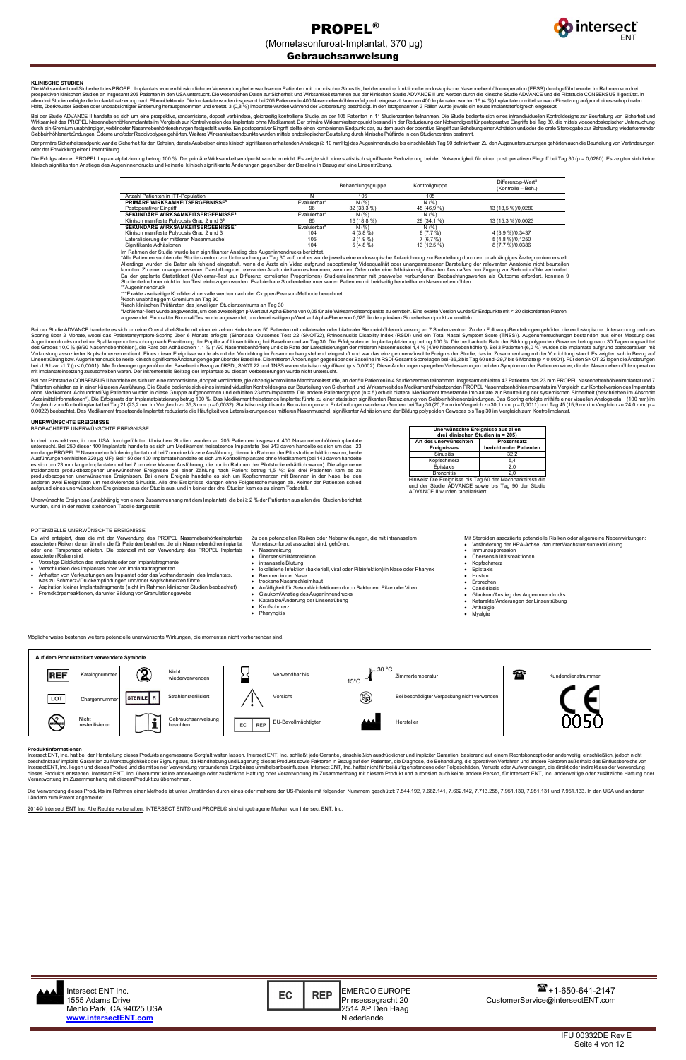

## Gebrauchsanweisung

IFU 00332DE Rev E Seite 4 von 12

### **KLINISCHE STUDIEN**

Die Wirksamkeit und Sicherheit des PROPEL Implantats wurden hinsichtlich der Verwendung bei erwachsenen Patienten mit chronischer Sinusitis, bei denen eine funktionelle endoskopische Nasennebenhöhlenoperation (FESS) durchg prospektiven klinischen Studien an insgesamt 205 Patienten in den USA untersucht. Die wesentlichen Daten zur Sicherheit und Wirksamkeit stammen aus der klinischen Studie ADVANCE II und werden durch die Klinische Studie ADV

Bei der Studie ADVANCE II handelte es sich um eine prospektive, randomisierte, doppelt verblindete, gleichzeitig kontrollierte Studie, an der 105 Patienten in 11 Studienzentren teilnahmen. Die Studie bediente sich eines in Siebbeinhöhlenentzündungen, Ödeme und/oder Rezidivpolypen gehörten. Weitere Wirksamkeitsendpunkte wurden mittels endoskopischer Beurteilung durch klinische Prüfärzte in den Studienzentren bestimmt.

Der primäre Sicherheitsendpunkt war die Sicherheit für den Sehsinn, der als Ausbleiben eines klinisch signifikanten anhaltenden Anstiegs (≥ 10 mmHg) des Augeninnendrucks bis einschließlich Tag 90 definiert war. Zu den Auge oder der Entwicklung einer Linsentrübung.

Die Erfolgsrate der PROPEL Implantatplatzierung betrug 100 %. Der primäre Wirksamkeitsendpunkt wurde erreicht. Es zeigte sich eine statistisch signifikante Reduzierung bei der Notwendigkeit für einen postoperativen Eingrif klinisch signifikanten Anstiege des Augeninnendrucks und keinerlei klinisch signifikante Änderungen gegenüber der Baseline in Bezug auf eine Linsentrübung.

> \*Alle Patienten suchten die Studienzentren zur Untersuchung an Tag 30 auf, und es wurde jeweils eine endoskopische Aufzeichnung zur Beurteilung durch ein unabhängiges Ärztegremium erstellt. Allerdings wurden die Daten als fehlend eingestuft, wenn die Ärzte ein Video aufgrund suboptimaler Videoqualität oder unangemessener Darstellung der relevanten Anatomie nicht beurteilen<br>konnten Zu einer unangemessenen Dars

\*\*Augeninnendruck<br>\*\*\*Exakte zweiseitige Konfidenzintervalle werden nach der Clopper-Pearson-Methode berechnet.<br>**§**Noch upobbängigem Cromium an Tag 30.

|                                                        |              | Behandlungsgruppe | Kontrollgruppe | Differenz/p-Wert <sup>a</sup><br>(Kontrolle – Beh.) |
|--------------------------------------------------------|--------------|-------------------|----------------|-----------------------------------------------------|
| Anzahl Patienten in ITT-Population                     |              | 105               | 105            |                                                     |
| PRIMÄRE WIRKSAMKEITSERGEBNISSE <sup>§</sup>            | Evaluierbar* | N(% )             | N(% )          |                                                     |
| Postoperativer Eingriff                                | 96           | 32 (33.3 %)       | 45 (46,9 %)    | 13 (13,5 %)/0,0280                                  |
| SEKUNDÄRE WIRKSAMKEITSERGEBNISSE <sup>§</sup>          | Evaluierbar* | N(% )             | N(% )          |                                                     |
| Klinisch manifeste Polyposis Grad 2 und 3 <sup>§</sup> | 85           | 16 (18.8 %)       | 29 (34.1 %)    | 13 (15,3 %)/0,0023                                  |
| SEKUNDÄRE WIRKSAMKEITSERGEBNISSE <sup>±</sup>          | Evaluierbar* | N(% )             | N(%)           |                                                     |
| Klinisch manifeste Polyposis Grad 2 und 3              | 104          | $4(3.8\%)$        | 8(7,7%)        | 4 (3,9 %)/0,3437                                    |
| Lateralisierung der mittleren Nasenmuschel             | 105          | $2(1.9\%)$        | 7(6,7%)        | 5 (4,8 %)/0,1250                                    |
| Signifikante Adhäsionen                                | 104          | $5(4.8\%)$        | 13 (12,5 %)    | 8 (7,7 %)/0,0386                                    |

hmen der Studie wurde kein signifikanter Anstieg des Augeni<mark>r</mark>

Nach unabhängigem Gremium an Tag 30 **±** Nach klinischen Prüfärzten des jeweiligen Studienzentrums an Tag 30

ªMcNemar-Test wurde angewendet, um den zweiseitigen p-Wert auf Alpha-Ebene von 0,05 für alle Wirksamkeitsendpunkte zu ermitteln. Eine exakte Version wurde für Endpunkte mit < 20 diskordanten Paaren<br>angewendet. Ein exakter

Bei der Studie ADVANCE handelte es sich um eine Open-Label-Studie mit einer einzelnen Kohorte aus 50 Patienten mit unilateraler oder bilateraler Siebbeinhöhlenerkrankung an 7 Studienzentren. Zu den Follow-up-Beurteilungen Scoring über 2 Monate, wobei das Patientensymptom-Scoring über 6 Monate erfolgte (Sinonasal Outcomes Test 22 (SNOT22), Rhinosinusitis Disability Index (RSDI) und ein Total Nasal Symptom Score (TNSS)). Augenuntersuchungen b Linsentrübung bzw. Augeninnendruck keinerlei klinisch signifikante Anderungen gegenüber der Baseline. Die mittleren Anderungen gegenüber der Baseline im RSDI-Gesamt-Score lagen bei -36,2 bis Tag 60 und -29,7 bis 6 Monate (

Bei der Pilotstudie CONSENSUS II handelte es sich um eine randomisierte, doppelt verblindete, gleichzeitig kontrollierte Machbarkeitsstudie, an der 50 Patienten in 4 Studienzentren teilnahmen. Insgesamt erhielten 43 Patien

**Auf dem Produktetikett verwendete Symbole** Nicht Verwendbar bis  $\begin{bmatrix} 30 \text{ °C} \\ 45 \text{ °C} \end{bmatrix}$ Katalognummer (2) Nicht **REF**  $\overline{A}$  Zimmertemperatur 15°C Timmertemperatur and the contract of the contract of the contract of the contract of the contract of the contract of the contract of the contract of the contract of the contract of the contract of the contract of the Chargennummer STERILE R Strahlensterilisiert Vorsicht Vorsicht Versicht (S) Bei beschädigter Verpackung nicht verwender LOT Gebrauchsanweisung **STERGIZE** Nicht<br>resterilisieren  $\mathbf i$ beachten Hersteller<br>beachten Hersteller

Die Verwendung dieses Produkts im Rahmen einer Methode ist unter Umständen durch eines oder mehrere der US-Patente mit folgenden Nummern geschützt: 7.544.192, 7.662.141, 7.662.142, 7.713.255, 7.951.130, 7.951.131 und 7.951 Ländern zum Patent angemeldet.

# **UNERWÜNSCHTE EREIGNISSE** BEOBACHTETE UNERWÜNSCHTE EREIGNISSE

In drei prospektiven, in den USA durchgeführten klinischen Studien wurden an 205 Patienten insgesamt 400 Nasennebenhöhlenimplantate untersucht. Bei 250 dieser 400 Implantate handelte es sich um Medikament freisetzende Implantate (bei 243 davon handelte es sich um das 23<br>mm lange PROPEL™ Nasennebenhöhlenimplantat und bei 7 um eine kürzere Ausführung, Ausführungen enthielten 220 µg MF). Bei 150 der 400 lmplantate handelte es sich um Kontrollimplantate ohne Medikament (bei 143 davon handelte<br>es sich um 23 mm lange Implantate und bei 7 um eine kürzere Ausführung, die nur produktbezogenen unerwünschten Ereignissen. Bei einem Ereignis handelte es sich um Kopfschmerzen mit Brennen in der Nase, bei den anderen zwei Ereignissen um rezidivierende Sinusitis. Alle drei Ereignisse klangen ohne Folgeerscheinungen ab. Keiner der Patienten schied<br>aufgrund eines unerwünschten Ereignisses aus der Studie aus, und in keiner der drei

Unerwünschte Ereignisse (unabhängig von einem Zusammenhang mit dem Implantat), die bei ≥ 2 % der Patienten aus allen drei Studien berichtet<br>wurden, sind in der rechts stehenden Tabelledargestellt.

**Unerwünschte Ereignisse aus allen drei klinischen Studien (n = 205) Art des unerwünschten Ereignisses Prozentsatz berichtender Patienten** nusitis Kopfschmerz 5,4 Epistaxis Bronchitis 2,0 Hinweis: Die Ereignisse bis Tag 60 der Machbarkeitsstudie und der Studie ADVANCE sowie bis Tag 90 der Studie

ADVANCE II wurden tabellarisiert.

POTENZIELLE UNERWÜNSCHTE EREIGNISSE

Es wird antizipiert, dass die mit der Verwendung des PROPEL Nasennebenhöhlenimplantats<br>assoziierten Risiken denen ähneln, die für Patienten bestehen, die ein Nasennebenhöhlenimplantat assoziierten Risiken denen ähneln, die für Patienten bestehen, die ein Nasennebenhöhlenimplantat<br>oder eine Tamponade erhielten. Die potenziell mit der Verwendung des PROPEL Implantats<br>assoziierten Risiken sind:

- Vorzeitige Dislokation des Implantats oder der Implantatfragmente
- Verschlucken des Implantats oder von Implantatfragmenten Anhaften von Verkrustungen am Implantat oder das Vorhandensein des Implantats,
- was zu Schmerz-/Druckempfindungen und/oder Kopfschmerzenführte Aspiration kleiner Implantatfragmente (nicht im Rahmen klinischer Studien beobachtet)
- Fremdkörperreaktionen, darunter Bildung vonGranulationsgewebe
- Zu den potenziellen Risiken oder Nebenwirkungen, die mit intranasalem
- Mometasonfuroat assoziiert sind, gehören: • Nasenreizung
	- Übersensibilitätsreaktion
	-
	- intranasale Blutung lokalisierte Infektion (bakteriell, viral oder Pilzinfektion) in Nase oder Pharynx • Brennen in der Nase
	-
	- Anfälligkeit für Sekundärinfektionen durch Bakterien, Pilze oderViren
	- Glaukom/Anstieg des Augeninnendrucks
	- Katarakte/Änderung der Linsentrübung • Kopfschmerz
- Pharyngitis

Mit Steroiden assoziierte potenzielle Risiken oder allgemeine Nebenwirkungen: • Veränderung der HPA-Achse, darunterWachstumsunterdrückung

- mmunsuppression
- Übersensibilitätsreaktionen<br>• Konfschmerz • Kopfschmerz
- 
- Epistaxis
- Husten • Erbrechen
- **Candidiasis**
- Glaukom/Anstieg des Augeninnendrucks
- Katarakte/Änderungen der Linsentrübung
- **Arthralgie**
- **Myalgie**

Möglicherweise bestehen weitere potenzielle unerwünschte Wirkungen, die momentan nicht vorhersehbar sind.

#### **Produktinformationen**

Intersect ENT, Inc. hat bei der Herstellung dieses Produkts angemessene Sorgfalt walten lassen. Intersect ENT, Inc. schließt jede Garantie, einschließlich ausdrücklicher und impliziter Garantien, basierend auf einem Rechts Intersect ENT, Inc. liegen und dieses Produkt und die mit seiner Verwendung verbundenen Ergebnisse unmittelbar beeinflussen. Intersect ENT, Inc. haftet nicht für beiläufig entstandene oder Folgeschäden, Verluste oder Aufwe

trockene Nasenschleimhaut

2014© Intersect ENT Inc. Alle Rechte vorbehalten. INTERSECT ENT® und PROPEL® sind eingetragene Marken von Intersect ENT, Inc.

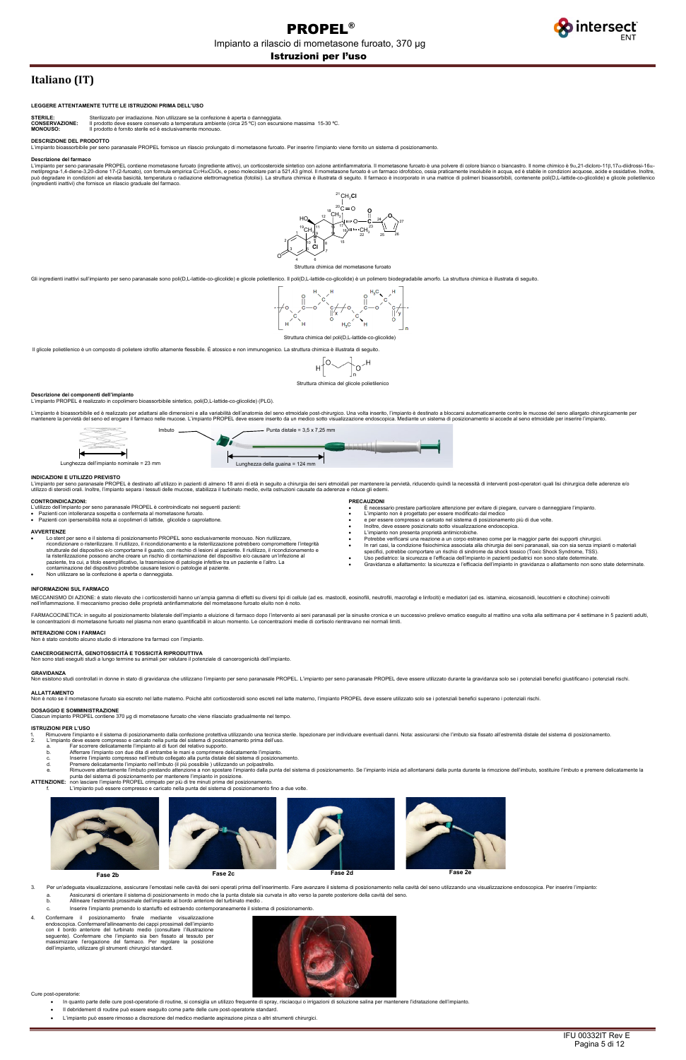

# **Italiano (IT)**

### **LEGGERE ATTENTAMENTE TUTTE LE ISTRUZIONI PRIMA DELL'USO**

| <b>STERILE:</b> | Sterilizzato per irrad |
|-----------------|------------------------|

**STERILE:** Sterilizzato per irradiazione. Non utilizzare se la confezione è aperta o danneggiata<br> **CONSERVAZIONE:** ll prodotto deve essere conservato a temperatura ambiente (circa 25 °C) con escurs **CONSERVAZIONE:** Il prodotto deve essere conservato a temperatura ambiente (circa 25 ºC) con escursione massima 15-30 ºC. **MONOUSO:** Il prodotto è fornito sterile ed è esclusivamente monouso.

## **DESCRIZIONE DEL PRODOTTO**

no paranasale PROPEL fornisce un rilascio prolungato di mometasone furoato. Per inserire l'impianto viene fornito un sistema di posizionamento.

#### **Descrizione del farmaco**

L'impianto per seno paranasale PROPEL contiene mometasone furoato (ingrediente attivo), un corticosteroide sintetico con azione antinfiammatoria. Il mometasone furoato è una polvere di colore bianco o biancastro. Il nome c può degradare in condizioni ad elevata basicità, temperatura o radiazione elettromagnetica (fotolisi). La struttura chimica è illustrata di seguito. Il farmaco è incorporato in una matrice di polimeri bioassorbibili, conte

#### Struttura chimica del mometasone furoato

Gli ingredienti inattivi sull'impianto per seno paranasale sono poli(D,L-lattide-co-glicolide) e glicole polietilenico. Il poli(D,L-lattide-co-glicolide) è un polimero biodegradabile amorfo. La struttura chimica è illustra

L'impianto per seno paranasale PROPEL è destinato all'utilizzo in pazienti di almeno 18 anni di età in sequito a chirurgia dei seni etmoidali per mantenere la pervietà, riducendo quindi la necessità di interventi post-oper utilizzo di steroidi orali. Inoltre, l'impianto separa i tessuti delle mucose, stabilizza il turbinato medio, evita ostruzioni causate da aderenze e riduce gli edemi.



Struttura chimica del poli(D,L-lattide-co-glicolide)

Il glicole polietilenico è un composto di polietere idrofilo altamente flessibile. È atossico e non immunogenico. La struttura chimica è illustrata di seguito.

$$
H\left[\begin{matrix}0&\\&1\end{matrix}\right]_{\Omega}\wedge^H
$$

Struttura chimica del glicole polietilenico

## **Descrizione dei componenti dell'impianto**

- Lo stent per seno e il sistema di posizionamento PROPEL sono esclusivamente monouso. Non riutilizzare ricondizionare o risterilizzare. Il riutilizzo, il ricondizionamento e la risterilizzazione potrebbero compromettere l'integrità strutturale del dispositivo e/o comportarne il guasto, con rischio di lesioni al paziente. Il riutilizzo, il ricondizionamento e<br>la risterilizzazione possono anche creare un rischio di contaminazione del dispositivo e/o ca paziente, tra cui, a titolo esemplificativo, la trasmissione di patologie infettive tra un paziente e l'altro. La contaminazione del dispositivo potrebbe causare lesioni o patologie al paziente.
- Non utilizzare se la confezione è aperta o danneggiata.

L'impianto PROPEL è realizzato in copolimero bioassorbibile sintetico, poli(D,L-lattide-co-glicolide) (PLG).

L'impianto è bioassorbibile ed è realizzato per adattarsi alle dimensioni e alla variabilità dell'anatomia del seno etmoidale post-chirurgico. Una volta inserito, l'impianto è destinato a bloccarsi automaticamente contro l mantenere la pervietà del seno ed erogare il farmaco nelle mucose. L'impianto PROPEL deve essere inserito da un medico sotto visualizzazione endoscopica. Mediante un sistema di posizionamento si accede al seno etmoidale pe

MECCANISMO DI AZIONE: è stato rilevato che i corticosteroidi hanno un'ampia gamma di effetti su diversi tipi di cellule (ad es. mastociti, eosinofili, meutrofili, macrofagi e linfociti) e mediatori (ad es. istamina, eicosa nell'infiammazione. Il meccanismo preciso delle proprietà antinfiammatorie del mometasone furoato eluito non è noto.

FARMACOCINETICA: in seguito al posizionamento bilaterale dell'impianto a eluizione di farmaco dopo l'intervento ai seni paranasali per la sinusite cronica e un successivo prelievo ematico eseguito al mattino una volta alla

## **INDICAZIONI E UTILIZZO PREVISTO**

┡

#### **CONTROINDICAZIONI:**

- L'utilizzo dell'impianto per seno paranasale PROPEL è controindicato nei seguenti pazienti:
- 
- Pazienti con intolleranza sospetta o confermata al mometasone furoato. Pazienti con ipersensibilità nota ai copolimeri di lattide, glicolide o caprolattone.

#### **AVVERTENZE**

**PRECAUZIONI**

• È necessario prestare particolare attenzione per evitare di piegare, curvare o danneggiare l'impianto. • L'impianto non è progettato per essere modificato dal medico

- 3. Per un'adequata visualizzazione, assicurare l'emostasi nelle cavità dei seni operati prima dell'inserimento. Fare avanzare il sistema di posizionamento nella cavità del seno utilizzando una visualizzazione endoscopica.
	- a. Assicurarsi di orientare il sistema di posizionamento in modo che la punta distale sia curvata in alto verso la parete posteriore della cavità del seno.
	- Allineare l'estremità prossimale dell'impianto al bordo anteriore del turbinato medio
	- c. Inserire l'impianto premendo lo stantuffo ed estraendo contemporaneamente il sistema di posizionamento.
- 4. Confermare il posizionamento finale mediante visualizzazione endoscopica. Confermarel'allineamento dei cappi prossimali dell'impianto con il bordo anteriore del turbinato medio (consultare l'illustrazione seguente). Confermare che l'impianto sia ben fissato al tessuto per massimizzare l'erogazione del farmaco. Per regolare la posizione dell'impianto, utilizzare gli strumenti chirurgici standard.



- e per essere compresso e caricato nel sistema di posizionamento più di due volte.
- Inoltre, deve essere posizionato sotto visualizzazione endoscopica. L'impianto non presenta proprietà antimicrobiche.
- 
- Potrebbe verificarsi una reazione a un corpo estraneo come per la maggior parte dei supporti chirurgici. In rari casi, la condizione fisiochimica associata alla chirurgia dei seni paranasali, sia con sia senza impianti o mat specifici, potrebbe comportare un rischio di sindrome da shock tossico (Toxic Shock Syndrome, TSS).
- Uso pediatrico: la sicurezza e l'efficacia dell'impianto in pazienti pediatrici non sono state determinate
- Gravidanza e allattamento: la sicurezza e l'efficacia dell'impianto in gravidanza o allattamento non sono state determinate.

## **INFORMAZIONI SUL FARMACO**

## **INTERAZIONI CON I FARMACI**

to condotto alcuno studio di interazione tra farmaci con l'impianto.

# **CANCEROGENICITÀ, GENOTOSSICITÀ E TOSSICITÀ RIPRODUTTIVA**

ne su animali per valutare il potenziale di cancerogenicità dell'impianto.

## **GRAVIDANZA**

ou security in donne in stato di gravidanza che utilizzano l'impianto per seno paranasale PROPEL. L'impianto per seno paranasale PROPEL deve essere utilizzato durante la gravidanza solo se i potenziali benefici giustifican

## **ALLATTAMENTO**

iasone furoato sia escreto nel latte materno. Poiché altri corticosteroidi sono escreti nel latte materno, l'impianto PROPEL deve essere utilizzato solo se i potenziali benefici superano i potenziali rischi.

# **DOSAGGIO E SOMMINISTRAZIONE**

.<br>ne 370 µg di mometasone furoato che viene rilasciato gradualmente nel tempo.

## **ISTRUZIONI PER L'USO**

- 1. Rimuovere l'impianto e il sistema di posizionamento dalla confezione protettiva utilizzando una tecnica sterile. Ispezionare per individuare eventuali danni. Nota: assicurarsi che l'imbuto sia fissato all'estremità d
	-
	- b. Afferrare l'impianto con due dita di entrambe le mani e comprimere delicatamente l'impianto.
	- c. Inserire l'impianto compresso nell'imbuto collegato alla punta distale del sistema di posizionamento.
	- d. Premere delicatamente l'impianto nell'imbuto (il più possibile ) utilizzando un polpastrello.
- e. Rimuovere attentamente l'imbuto prestando attenzione a non spostare l'impianto dalla punta del sistema di posizionamento. Se l'impianto inizia ad allontanarsi dalla punta durante la rimozione dell'imbuto, sostituire l'i

f. L'impianto può essere compresso e caricato nella punta del sistema di posizionamento fino a due volte.



Cure post-operatorie:

- In quanto parte delle cure post-operatorie di routine, si consiglia un utilizzo frequente di spray, risciacqui o irrigazioni di soluzione salina per mantenere l'idratazione dell'impianto.
- Il debridement di routine può essere eseguito come parte delle cure post-operatorie standard.
- L'impianto può essere rimosso a discrezione del medico mediante aspirazione pinza o altri strumenti chirurgici.



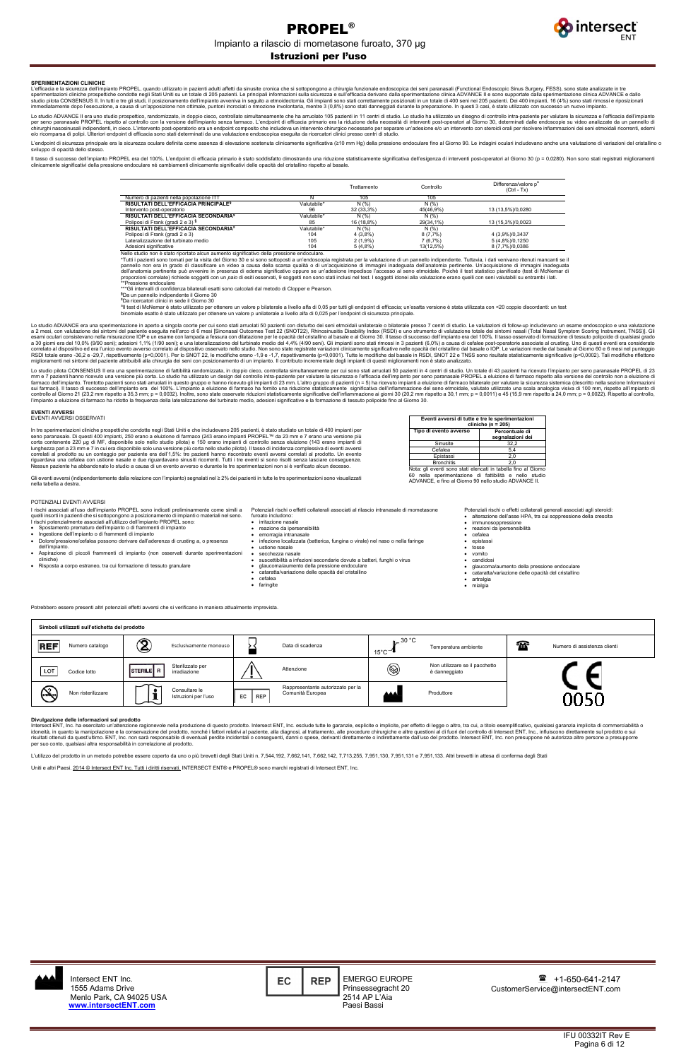IFU 00332IT Rev E Pagina 6 di 12

Istruzioni per l'uso



### **SPERIMENTAZIONI CLINICHE**

L'efficacia e la sicurezza dell'impianto PROPEL, quando utilizzato in pazienti adulti affetti da sinusite cronica che si sottopongono a chirurgia funzionale endoscopica dei seni paranasali (Functional Endoscopic Sinus Surg sperimentazioni cliniche prospettiche condotte negli Stati Uniti su un totale di 205 pazienti. Le principali informazioni sulla sicurezza e sull'efficacia derivano dalla sperimentazione clinica ADVANCE II e sono supportate

Lo studio ADVANCE II era uno studio prospettico, randomizzato, in doppio cieco, controllato simultaneamente che ha arruolato 105 pazienti in 11 centri di studio. Lo studio ha utilizzato un disegno di controllo intra-pazien e/o ricomparsa di polipi. Ulteriori endpoint di efficacia sono stati determinati da una valutazione endoscopica eseguita da ricercatori clinici presso centri di studio.

L'endpoint di sicurezza principale era la sicurezza oculare definita come assenza di elevazione sostenuta clinicamente significativa (≥10 mm Hg) della pressione endoculare fino al Giorno 90. Le indagini oculari includevano sviluppo di opacità dello stesso.

Il tasso di successo dell'impianto PROPEL era del 100%. L'endpoint di efficacia primario è stato soddisfatto dimostrando una riduzione statisticamente significativa dell'esigenza di interventi post-operatori al Giorno 30 ( clinicamente significativi della pressione endoculare né cambiamenti clinicamente significativi delle opacità del cristallino rispetto al basale.

|                                                  |             | Trattamento | Controllo | Differenza/valore p <sup>a</sup><br>$(CtrI - Tx)$ |
|--------------------------------------------------|-------------|-------------|-----------|---------------------------------------------------|
| Numero di pazienti nella popolazione ITT         |             | 105         | 105       |                                                   |
| RISULTATI DELL'EFFICACIA PRINCIPALE <sup>§</sup> | Valutabile* | N(% )       | N(% )     |                                                   |
| Intervento post-operatorio                       | 96          | 32 (33,3%)  | 45(46,9%) | 13 (13,5%)/0,0280                                 |
| RISULTATI DELL'EFFICACIA SECONDARIA <sup>§</sup> | Valutabile* | N(% )       | N(% )     |                                                   |
| Poliposi di Frank (gradi 2 e 3) §                | 85          | 16 (18,8%)  | 29(34,1%) | 13 (15,3%)/0,0023                                 |
| RISULTATI DELL'EFFICACIA SECONDARIA <sup>±</sup> | Valutabile* | N(% )       | N(% )     |                                                   |
| Poliposi di Frank (gradi 2 e 3)                  | 104         | 4(3,8%)     | 8(7,7%)   | 4 (3,9%)/0,3437                                   |
| Lateralizzazione del turbinato medio             | 105         | $2(1,9\%)$  | 7(6,7%)   | 5 (4,8%)/0,1250                                   |
| Adesioni significative                           | 104         | 5(4,8%)     | 13(12,5%) | 8 (7,7%)/0,0386                                   |

Nello studio non è stato riportato alcun aumento significativo della pressione endoculare.

Tutti i pazienti sono tornati per la visita del Giorno 30 e si sono sottoposti a un'endoscopia registrata per la valutazione di un pannello indipendente. Tuttavia, i dati venivano ritenuti mancanti se il pannello non era in grado di classificare un video a causa della scarsa qualità o di un'acquisizione di immagini inadeguata dell'anatomia pertinente. Un'acquisizione di immagini inadeguata dell'anatomia pertinente può avvenire in presenza di edema significativo oppure se un'adesione impedisce l'accesso al seno etmoidale. Poiché il test statistico pianificato (test di McNemar di<br>proporzioni correlate) riched

\*\*\*Gli intervalli di confidenza bilaterali esatti sono calcolati dal metodo di Clopper e Pearson.

**§** Da un pannello indipendente il Giorno 30 **±** Da ricercatori clinici in sede il Giorno 30

In tre sperimentazioni cliniche prospettiche condotte negli Stati Uniti e che includevano 205 pazienti, è stato studiato un totale di 400 impianti per<br>seno paranasale. Di questi 400 impianti, 250 erano a eluizione di farm lunghezza pari a 23 mm e 7 in cui era disponibile solo una versione più corta nello studio pilota). Il tasso di incidenza complessiva di eventi avversi<br>correlati al prodotto su un conteggio per paziente era dell"1,5%: tre Nessun paziente ha abbandonato lo studio a causa di un evento avverso e durante le tre sperimentazioni non si è verificato alcun decesso.

a Il test di McNemar è stato utilizzato per ottenere un valore p bilaterale a livello alfa di 0,05 per tutti gli endpoint di efficacia; un'esatta versione è stata utilizzata con <20 coppie discordanti: un test binomiale esatto è stato utilizzato per ottenere un valore p unilaterale a livello alfa di 0,025 per l'endpoint di sicurezza principale.

Lo studio ADVANCE era una sperimentazione in aperto a singola coorte per cui sono stati arruolati 50 pazienti con disturbo dei seni etmoidali unilaterale o bilaterale presso 7 centri di studio. Le valutazioni di follow-up a 2 mesi, con valutazione dei sintomi del paziente eseguita nell'arco di 6 mesi [Sinonasal Outcomes Test 22 (SNOT22), Rhinosinusitis Disability Index (RSDI) e uno strumento di valutazione totale dei sintomi nasali (Total N correlato al dispositivo ed era l'unico evento avverso correlato al dispositivo osservato nello studio. Non sono state registrate variazioni clinicamente significative nelle opacità del cristallino dal basale o IOP. Le va

Lo studio pilota CONSENSUS II era una sperimentazione di fattibilità randomizzata, in doppio cieco, controllata simultaneamente per cui sono stati arruolati 50 pazienti n 4 centri di studio. Un totale di 43 pazienti ha ric

- Spostamento prematuro dell'impianto o di frammenti di impianto
- Ingestione dell'impianto o di frammenti di impianto
- Dolore/pressione/cefalea possono derivare dall'aderenza di crusting a, o presenza dell'impianto. • Aspirazione di piccoli frammenti di impianto (non osservati durante sperimentazioni
- cliniche)
- Risposta a corpo estraneo, tra cui formazione di tessuto granulare
- Potenziali rischi o effetti collaterali associati al rilascio intranasale di mometasone
- furoato includono:
- irritazione nasale • reazione da ipersensibilità
- emorragia intranasale
- infezione localizzata (batterica, fungina o virale) nel naso o nella faringe
- ustione nasale
- secchezza nasale
- suscettibilità a infezioni secondarie dovute a batteri, funghi o virus
- glaucoma/aumento della pressione endoculare cataratta/variazione delle opacità del cristallino
- cefalea
- faringite
- epistassi<br>• tosse
- tosse
- vomito • candidosi
- glaucoma/aumento della pressione endoculare
- cataratta/variazione delle opacità del cristallino
- artralgia • mialgia

Intersect ENT, Inc. ha esercitato un'attenzione ragionevole nella produzione di questo prodotto. Intersect ENT, Inc. esclude tutte le garanzie, esplicite o implicite, per effetto di legge o altro, tra cui, a titolo esempli idoneità, in quanto la manipolazione e la conservazione del prodotto, nonché i fattori relativi al paziente, alla diagnosi, al trattamento, alle procedure chirurgiche e altre questioni al di fuori del controllo di Intersec per suo conto, qualsiasi altra responsabilità in correlazione al prodotto.

L'utilizzo del prodotto in un metodo potrebbe essere coperto da uno o più brevetti degli Stati Uniti n. 7,544,192, 7,662,141, 7,662,142, 7,713,255, 7,951,130, 7,951,131 e 7,951,133. Altri brevetti in attesa di conferma deg

Uniti e altri Paesi. 2014 © Intersect ENT Inc. Tutti i diritti riservati. INTERSECT ENT® e PROPEL® sono marchi registrati di Intersect ENT, Inc.

#### **EVENTI AVVERSI** EVENTI AVVERSI OSSERVATI

Gli eventi avversi (indipendentemente dalla relazione con l'impianto) segnalati nel ≥ 2% dei pazienti in tutte le tre sperimentazioni sono visualizzati nella tabella a destra.

**Eventi avversi di tutte e tre le sperimentazioni** 

**cliniche (n = 205)**

**Tipo di evento avverso Percentuale di** 

Sinusite Cefalea Epistass **segnalazioni dei** 

Bronchitis 2,0 Nota: gli eventi sono stati elencati in tabella fino al Giorno sperimentazione di fattibilità e ADVANCE, e fino al Giorno 90 nello studio ADVANCE II.

## POTENZIALI EVENTI AVVERSI

I rischi associati all'uso dell'impianto PROPEL sono indicati preliminarmente come simili a quelli insorti in pazienti che si sottopongono a posizionamento di impianti o materiali nel seno. I rischi potenzialmente associati all'utilizzo dell'impianto PROPEL sono:

Potenziali rischi o effetti collaterali generali associati agli steroidi: • alterazione dell'asse HPA, tra cui soppressione della crescita

immunosoppressione

- reazioni da ipersensibilità
- cefalea

Potrebbero essere presenti altri potenziali effetti avversi che si verificano in maniera attualmente imprevista.

| Simboli utilizzati sull'etichetta del prodotto |                                                  |                                                                           |                                                                |                                    |
|------------------------------------------------|--------------------------------------------------|---------------------------------------------------------------------------|----------------------------------------------------------------|------------------------------------|
| <b>REF</b><br>Numero catalogo                  | $\widehat{\mathbf{Z}}$<br>Esclusivamente monouso | –<br>Data di scadenza                                                     | $n = 30 °C$<br>Temperatura ambiente<br>$15^{\circ}$ C          | 50<br>Numero di assistenza clienti |
| LOT<br>Codice lotto                            | Sterilizzato per<br>STERILE R<br>irradiazione    | Attenzione<br>$\bullet$                                                   | Non utilizzare se il pacchetto<br>$\circledR$<br>è danneggiato |                                    |
| $\bigotimes$<br>Non risterilizzare             | Consultare le<br>Istruzioni per l'uso            | Rappresentante autorizzato per la<br>Comunità Europea<br><b>REP</b><br>EC | <b>AAA</b><br>Produttore                                       | חאמ                                |

## **Divulgazione delle informazioni sul prodotto**

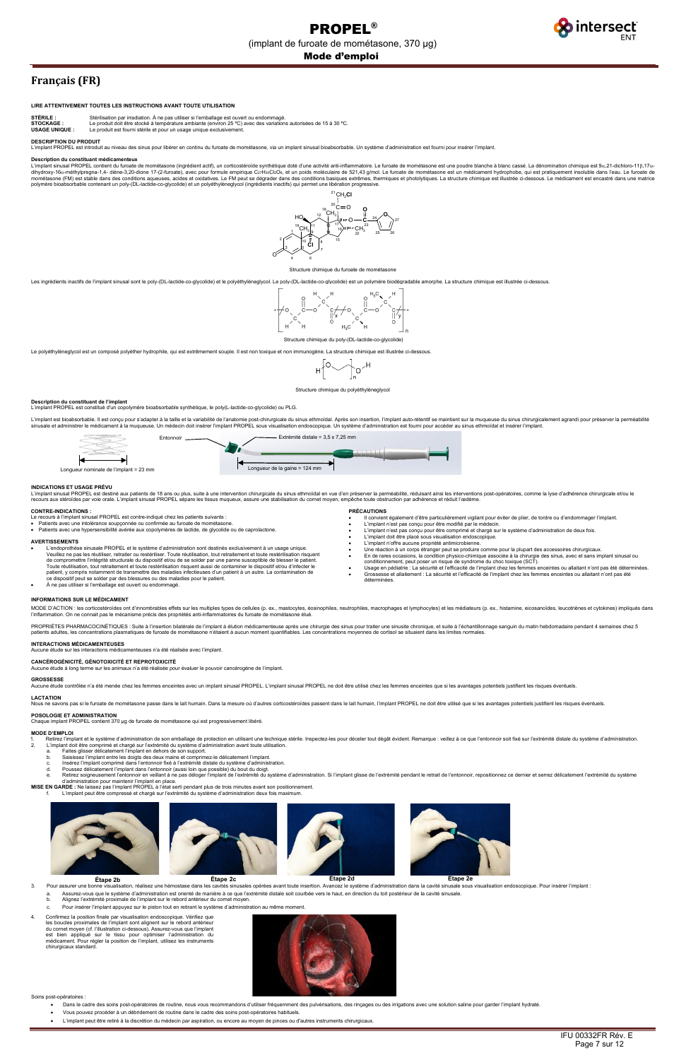Mode d'emploi



# **Français (FR)**

## **LIRE ATTENTIVEMENT TOUTES LES INSTRUCTIONS AVANT TOUTE UTILISATION**

**STÉRILE** : Stérilisation par irradiation. À ne pas utiliser si l'emballage est ouvert ou endommagé.<br>**STOCKAGE** : Le produit doit être stocké à température ambiante (environ 25 °C) avec des variation **STOCKAGE :** Le produit doit être stocké à température ambiante (environ 25 °C) avec des variations autorisées de 15 à 30 °C.<br> **USAGE UNIQUE :** Le produit est fourni stérile et pour un usage unique exclusivement.

Le produit est fourni stérile et pour un usage unique exclusivement

## **DESCRIPTION DU PRODUIT**

L'implant PROPEL est introduit au niveau des sinus pour libérer en continu du furoate de mométasone, via un implant sinusal bioabsorbable. Un système d'administration est fourni pour insérer l'implant.

#### **Description du constituant médicamenteux**

L'implant sinusal PROPEL contient du furoate de mométasone (ingrédient actif), un corticostéroïde synthétique doté d'une activité anti-inflammatoire. Le furoate de mométasone est une poudre blanche à blanc cassé. La dénomi dihydroxy-16α-méthylpregna-1,4- diène-3,20-dione 17-(2-furoate), avec pour formule empirique CzrH»ClzOs, et un poids moléculaire de 521,43 g/mol. Le furoate de mométasone est un médicament hydrophobe, qui est pratiquement

## Structure chimique du furoate de mométasone

Les ingrédients inactifs de l'implant sinusal sont le poly-(DL-lactide-co-glycolide) et le polyéthylèneglycol. Le poly-(DL-lactide-co-glycolide) est un polymère biodégradable amorphe. La structure chimique est illustrée ci



Le polyéthylèneglycol est un composé polyéther hydrophile, qui est extrêmement souple. Il est non toxique et non immunogène. La structure chimique est illustrée ci-dessous



## Structure chimique du polyéthylèneglycol

**Description du constituant de l'implant**<br>L'implant PROPEL est constitué d'un copolymère bioabsorbable synthétique, le poly(L-lactide-co-glycolide) ou PLG.

L'implant est bioabsorbable. Il est concu pour s'adapter à la taille et la variabilité de l'anatomie post-chirurgicale du sinus ethmoïdal. Après son insertion, l'implant auto-rétentif se maintient sur la muqueuse du sinus e in para sous accesses et aux ses unes sense un médecin doit insérer l'implant PROPEL sous visualisation endoscopique. Un système d'administration est fourni pour accéder au sinus ethmoïdal et insérer l'implant. In systèm

## **INDICATIONS ET USAGE PRÉVU**

L'implant sinusal PROPEL est destiné aux patients de 18 ans ou plus, suite à une intervention chirurgicale du sinus ethmoïdal en vue d'en préserver la perméabilité, réduisant ainsi les interventions post-opératoires, comme

#### **CONTRE-INDICATIONS :**

- Le recours à l'implant sinusal PROPEL est contre-indiqué chez les patients suivants :
- Patients avec une intolérance soupçonnée ou confirmée au furoate de mométasone. Patients avec une hypersensibilité avérée aux copolymères de lactide, de glycolide ou de caprolactone.
- 

## **AVERTISSEMENTS**

L'endoprothèse sinusale PROPEL et le système d'administration sont destinés exclusivement à un usage unique.<br>Veuillez ne pas les réutiliser, retraiter ou restériliser. Toute réutilisation, tout retraitement et toute restér de compromettre l'intégrité structurale du dispositif et/ou de se solder par une panne susceptible de blesser le patient.<br>Toute réutilisation, tout retraitement et toute restérilisation risquent aussi de contaminer le disp patient, y compris notamment de transmettre des maladies infectieuses d'un patient à un autre. La contamination de ce dispositif peut se solder par des blessures ou des maladies pour le patient. À ne pas utiliser si l'emballage est ouvert ou endommagé

## **PRÉCAUTIONS**

- - a. Assurez-vous que le système d'administration est orienté de manière à ce que l'extrémité distale soit courbée vers le haut, en direction du toit postérieur de la cavité sinusale<br>b. Alignez l'extrémité proximale de l'imp
	- b. Alignez l'extrémité proximale de l'implant sur le rebord antérieur du cornet moyen.
	- c. Pour insérer l'implant appuyez sur le piston tout en retirant le système d'administration au même moment.
- 4. Confirmez la position finale par visualisation endoscopique. Vérifiez que les boucles proximales de l'implant sont alignent sur le rebord antérieur du cornet moyen (cf. l'illustration ci-dessous). Assurez-vous que l'implant est bien appliqué sur le tissu pour optimiser l'administration du médicament. Pour régler la position de l'implant, utilisez les instruments chirurgicaux standard.



- Il convient également d'être particulièrement vigilant pour éviter de plier, de tordre ou d'endommager l'implant.
	- L'implant n'est pas conçu pour être modifié par le médecin.
	- L'implant n'est pas conçu pour être comprimé et chargé sur le système d'administration de deux fois. L'implant doit être placé sous visualisation endoscopique.
	- L'implant n'offre aucune propriété antimicrobienne.
	-
	- Une réaction à un corps étranger peut se produire comme pour la plupart des accessoires chirurgicaux.<br>● En de rares occasions, la condition physico-chimique associée à la chirurgie des sinus, avec et sans implant sinusa
	- Usage en pédiatrie : La sécurité et l'efficacité de l'implant chez les femmes enceintes ou allaitant n'ont pas été déterminées. • Grossesse et allaitement : La sécurité et l'efficacité de l'implant chez les femmes enceintes ou allaitant n'ont pas été déterminées.

L'implant peut être compressé et chargé sur l'extrémité du système d'administration deux fois maximum

- Dans le cadre des soins post-opératoires de routine, nous vous recommandons d'utiliser fréquemment des pulvérisations, des rinçages ou des irrigations avec une solution saline pour garder l'implant hydraté.
- Vous pouvez procéder à un débridement de routine dans le cadre des soins post-opératoires habituels.
- L'implant peut être retiré à la discrétion du médecin par aspiration, ou encore au moyen de pinces ou d'autres instruments chirurgicaux.

## **INFORMATIONS SUR LE MÉDICAMENT**

MODE D'ACTION : les corticostéroïdes ont d'innombrables effets sur les multiples types de cellules (p. ex., mastocytes, éosinophiles, neutrophiles, macrophages et lymphocytes) et les médiateurs (p. ex., histamine, eicosano

PROPRIÉTES PHARMACOCINÉTIQUES : Suite à l'insertion bilatérale de l'implant à élution médicamenteuse après une chirurgie des sinus pour traiter une sinusite chronique, et suite à l'échantillonnage sanguin du matin hebdomad

## **INTERACTIONS MÉDICAMENTEUSES**

Aucune étude sur les interactions médicamenteuses n'a été réalisée avec l'implant.

## **CANCÉROGÉNICITÉ, GÉNOTOXICITÉ ET REPROTOXICITÉ**

Aucune étude à long terme sur les animaux n'a été réalisée pour évaluer le pouvoir cancérogène de l'implant.



## **GROSSESSE**

-…<br>Aucune étude contrôlée n'a été menée chez les femmes enceintes avec un implant sinusal PROPEL. L'implant sinusal PROPEL ne doit être utilisé chez les femmes enceintes que si les avantages potentiels justifient les risq

## **LACTATION**

Nous ne savons pas si le furoate de mométasone passe dans le lait humain. Dans la mesure où d'autres corticostéroïdes passent dans le lait humain, l'implant PROPEL ne doit être utilisé que si les avantages potentiels justi

## **POSOLOGIE ET ADMINISTRATION**

Chaque implant PROPEL contient 370 µg de furoate de mométasone qui est progressivement libéré.

## **MODE D'EMPLOI**

- 1. Retirez l'implant et le système d'administration de son emballage de protection en utilisant une technique stérile. Inspectez-les pour déceler tout dégât évident. Remarque : veillez à ce que l'entonnoir soit fixé sur l
- 
- 
- 
- b. Saisissez l'implant entre les doigts des deux mains et comprimez-le délicatement l'implant.<br>c. Insérez l'implant comprimé dans l'entonnoir fixé à l'extrémité distale du système d'administration.<br>d. P
- 
- e. Retirez soigneusement l'entonnoir en veillant à ne pas déloger l'implant de l'extrémité du système d'administration. Si l'implant glisse de l'extrémité pendant le retrait de l'entonnoir, repositionnez ce dernier et serr



Soins post-opératoires :

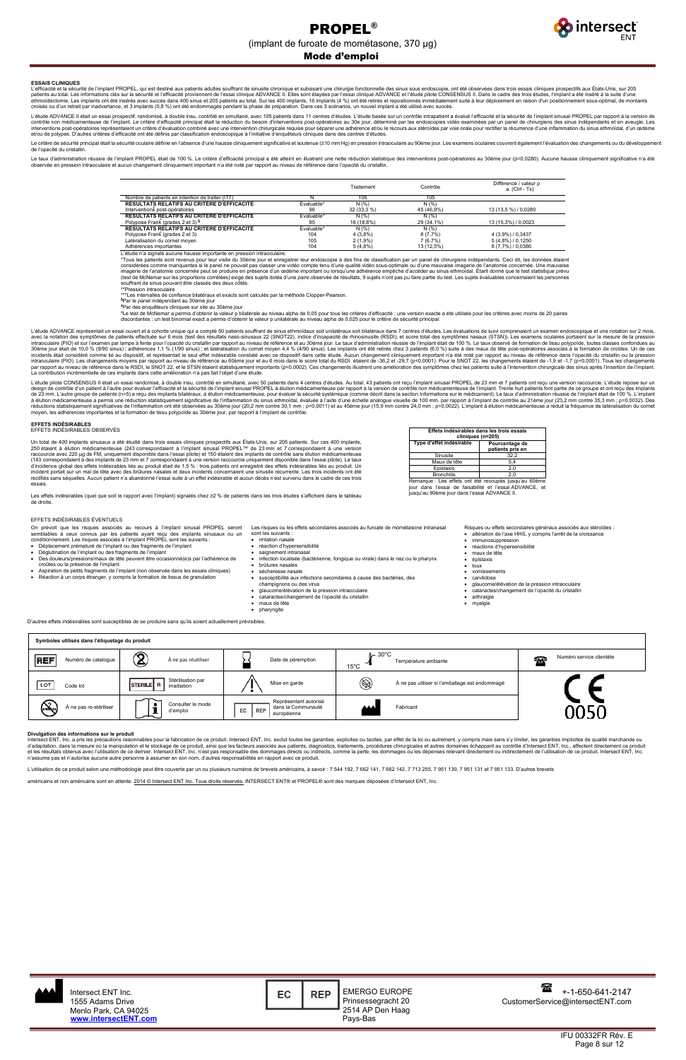Page 8 sur 12



## Mode d'emploi

### **ESSAIS CLINIQUES**

L'efficacité et la sécurité de l'implant PROPEL, qui est destiné aux patients adultes souffrant de sinusite chronique et subissant une chirurgie fonctionnelle des sinus sous endoscopie, ont été observées dans trois essais

L'étude ADVANCE II était un essai prospectif, randomisé, à double insu, contrôlé en simultané, avec 105 patients dans 11 centres d'études. L'étude basée sur un contrôle intrapatient a évalué l'efficacité et la sécurité de et/ou de polypes. D'autres critères d'efficacité ont été définis par classification endoscopique à l'initiative d'enquêteurs cliniques dans des centres d'études.

Le critère de sécurité principal était la sécurité oculaire définie en l'absence d'une hausse cliniquement significative et soutenue (≥10 mm Hg) en pression intraoculaire au 90ème jour. Les examens oculaires couvrent égale de l'opacité du cristallin.

Le taux d'administration réussie de l'implant PROPEL était de 100 %. Le critère d'efficacité principal a été atteint en illustrant une nette réduction statistique des interventions post-opératoires au 30ème jour (p=0,0280) observée en pression intraoculaire et aucun changement cliniquement important n'a été noté par rapport au niveau de référence dans l'opacité du cristallin.

> <sup>a</sup>Le test de McNemar a permis d'obtenir la valeur p bilatérale au niveau alpha de 0,05 pour tous les critères d'efficacité ; une version exacte a été utilisée pour les critères avec moins de 20 paires discordantes ; un test binomial exact a permis d'obtenir la valeur p unilatérale au niveau alpha de 0,025 pour le critère de sécurité principal.

|                                                  |            | Traitement | Contrôle   | Différence / valeur p<br>a (Ctrl - Tx) |
|--------------------------------------------------|------------|------------|------------|----------------------------------------|
| Nombre de patients en intention de traiter (ITT) |            | 105        | 105        |                                        |
| RÉSULTATS RELATIFS AU CRITÈRE D'EFFICACITÉ       | Évaluable* | N(% )      | N(% )      |                                        |
| Interventions post-opératoires                   | 96         | 32(33.3%)  | 45 (46,9%) | 13 (13,5 %) / 0,0280                   |
| RÉSULTATS RELATIFS AU CRITÈRE D'EFFICACITÉ       | Évaluable* | N(% )      | N(% )      |                                        |
| Polypose Frank (grades 2 et 3) §                 | 85         | 16 (18,8%) | 29 (34,1%) | 13 (15,3%) / 0,0023                    |
| RÉSULTATS RELATIFS AU CRITÈRE D'EFFICACITÉ       | Évaluable* | N(% )      | N(% )      |                                        |
| Polypose Frank (grades 2 et 3)                   | 104        | 4(3,8%)    | 8(7,7%)    | 4 (3,9%) / 0,3437                      |
| Latéralisation du cornet moyen                   | 105        | $2(1,9\%)$ | 7(6,7%)    | 5 (4,8%) / 0,1250                      |
| Adhérences importantes                           | 104        | 5(4,8%)    | 13 (12,5%) | 8 (7,7%) / 0,0386                      |

L'étude ADVANCE représentait un essai ouvert et à cohorte unique qui a compté 50 patients souffrant de sinus ethmoïdaux soit unilatéraux soit bilatéraux dans 7 centres d'études. Les évaluations de suivi comprenaient un exa avec la notation des symptômes de patients effectuée sur 6 mois (test des résultats naso-sinusaux 22 (SNOT22), indice d'incapacité de rhinosinusite (RSDI), et score total des symptômes nasaux (STSN)). Les examens oculaires 30ème jour était de 10,0 % (9/90 sinus) ; adhérences 1,1 % (1/90 sinus) ; et latéralisation du cornet moyen 4,4 % (4/90 sinus). Les implants ont été retirés chez 3 patients (6,0 %) suite à des maux de tête post-opératoires La contribution incrémentielle de ces implants dans cette amélioration n'a pas fait l'objet d'une étude.

L'étude pilote CONSENSUS II était un essai randomisé, à double insu, contrôlé en simultané, avec 50 patients dans 4 centres d'études. Au total, 43 patients ont reçu l'implant sinusal PROPEL de 23 mm et 7 patients ont reçu réductions statistiquement significatives de l'inflammation ont été observées au 30ème jour (20,2 mm contre 30,1 mm ; p=0,0011) et au 45ème jour (15,9 mm contre 24,0 mm ; p=0,0022). L'implant à élution médicamenteuse a ré

L'étude n'a signalé aucune hausse importante en pression intraoculaire.

Tous les patients sont revenus pour leur visite du 30ème jour et enregistrer leur endoscopie à des fins de classification par un panel de chirurgiens indépendants. Ceci dit, les données étaient considérées comme manquantes si le panel ne pouvait pas classer une vidéo compte tenu d'une qualité vidéo sous-optimale ou d'une mauvaise imagerie de l'anatomie concernée. Une mauvaise imagerie de l'anatomie concernée peut se produire en présence d'un œdème important ou lorsqu'une adhérence empêche d'accéder au sinus ethmoïdal. Étant donné que le test statistique prévu<br>(test de McNemar sur les proportion

Un total de 400 implants sinusaux a été étudié dans trois essais cliniques prospectifs aux États-Unis, sur 205 patients. Sur ces 400 implants, 250 étaient à élution médicamenteuse (243 correspondaient à l'implant sinusal PROPEL™ de 23 mm et 7 correspondaient à une version<br>raccourcie avec 220 µg de FM, uniquement disponible dans l'essai pilote) et 150 étaient des d'incidence global des effets indésirables liés au produit était de 1,5 % : trois patients ont enregistré des effets indésirables liés au produit. Un<br>incident portait sur un mal de tête avec des brûlures nasales et deux in

\*\*Pression intraoculaire

\*\*\*Les intervalles de confiance bilatéraux et exacts sont calculés par la méthode Clopper-Pearson. **§**

Par le panel indépendant au 30ème jour

**±** Par des enquêteurs cliniques sur site au 30ème jour

On prévoit que les risques associés au recours à l'implant sinusal PROPEL seront semblables à ceux connus par les patients ayant reçu des implants sinusaux ou un<br>conditionnement. Les risques associés à l'implant PROPEL sont les suivants :<br>● Déplacement prématuré de l'implant ou des fragments de l'im

Intersect ENT, Inc. a pris les précautions raisonnables pour la fabrication de ce produit. Intersect ENT, Inc. exclut toutes les garanties, explicites ou tacites, par effet de la loi ou autrement, y compris mais sans s'y n'assume pas et n'autorise aucune autre personne à assumer en son nom, d'autres responsabilités en rapport avec ce produit.



#### **EFFETS INDÉSIRABLES** EFFETS INDÉSIRABLES OBSERVÉS

essais.

Les effets indésirables (quel que soit le rapport avec l'implant) signalés chez ≥2 % de patients dans les trois études s'affichent dans le tableau de droite.

| Effets indésirables dans les trois essais                                                                                                                                                                                                                              |                                    |  |  |  |
|------------------------------------------------------------------------------------------------------------------------------------------------------------------------------------------------------------------------------------------------------------------------|------------------------------------|--|--|--|
| cliniques (n=205)                                                                                                                                                                                                                                                      |                                    |  |  |  |
| Type d'effet indésirable                                                                                                                                                                                                                                               | Pourcentage de<br>patients pris en |  |  |  |
| Sinusite                                                                                                                                                                                                                                                               | 32.2                               |  |  |  |
| Maux de tête                                                                                                                                                                                                                                                           | 5.4                                |  |  |  |
| Epistaxis                                                                                                                                                                                                                                                              | 2.0                                |  |  |  |
| <b>Bronchitis</b><br>2.0                                                                                                                                                                                                                                               |                                    |  |  |  |
| Remarque : Les effets ont été recoupés jusqu'au 60ème<br>$\mathbf{1}_{\text{max}}$ and $\mathbf{0}_{\text{max}}$ and $\mathbf{1}_{\text{max}}$ and $\mathbf{1}_{\text{max}}$ and $\mathbf{1}_{\text{max}}$ and $\mathbf{1}_{\text{max}}$ and $\mathbf{1}_{\text{max}}$ |                                    |  |  |  |

jour dans l'essai de faisabilité et l'essai ADVANCE, et jusqu'au 90ème jour dans l'essai ADVANCE II.

## EFFETS INDÉSIRABLES ÉVENTUELS

- 
- Déglutination de l'implant ou des fragments de l'implant Des douleurs/pressions/maux de tête peuvent être occasionné(e)s par l'adhérence de
- croûtes ou la présence de l'implant.
- Aspiration de petits fragments de l'implant (non observée dans les essais cliniques) Réaction à un corps étranger, y compris la formation de tissus de granulation
- Les risques ou les effets secondaires associés au furoate de mométasone intranasal
- sont les suivants : • irritation nasale
- réaction d'hypersensibilité
- saignement intranasal
- infection localisée (bactérienne, fongique ou virale) dans le nez ou le pharynx
- brûlures nasales
- sécheresse nasale
- susceptibilité aux infections secondaires à cause des bactéries, des champignons ou des virus
- glaucome/élévation de la pression intraoculaire
- cataractes/changement de l'opacité du cristallin
- maux de tête • pharyngite

### Risques ou effets secondaires généraux associés aux stéroïdes : • altération de l'axe HHS, y compris l'arrêt de la croissance

- immunosuppression
- réactions d'hypersensibilité<br>• maux de tête
- maux de tête
- épistaxis
- toux • vomissements
- candidose
- glaucome/élévation de la pression intraoculaire
- cataractes/changement de l'opacité du cristallin
- arthralgie • myalgie

SECT ENT® et PROPEL®

D'autres effets indésirables sont susceptibles de se produire sans qu'ils soient actuellement prévisibles.

| Symboles utilisés dans l'étiquetage du produit |                                                 |                                                                               |                                                                  |                                |
|------------------------------------------------|-------------------------------------------------|-------------------------------------------------------------------------------|------------------------------------------------------------------|--------------------------------|
| <b>REF</b><br>Numéro de catalogue              | $\bf \widehat{2}$<br>À ne pas réutiliser        | Date de péremption                                                            | $\mathbb{L}$ 30°C<br>Température ambiante<br>$15^{\circ}$ C      | Numéro service clientèle<br>55 |
| LOT<br>Code lot                                | Stérilisation par<br>STERILE R<br>irradiation   | Mise en garde                                                                 | $^{\circledR}$<br>À ne pas utiliser si l'emballage est endommagé |                                |
| $\bigcirc$<br>Á ne pas re-stériliser           | Consulter le mode<br>$\bullet$<br>ı<br>d'emploi | Représentant autorisé<br>dans la Communauté<br><b>REP</b><br>EC<br>européenne | <b>AAA</b><br>Fabricant                                          |                                |

#### **Divulgation des informations sur le produit**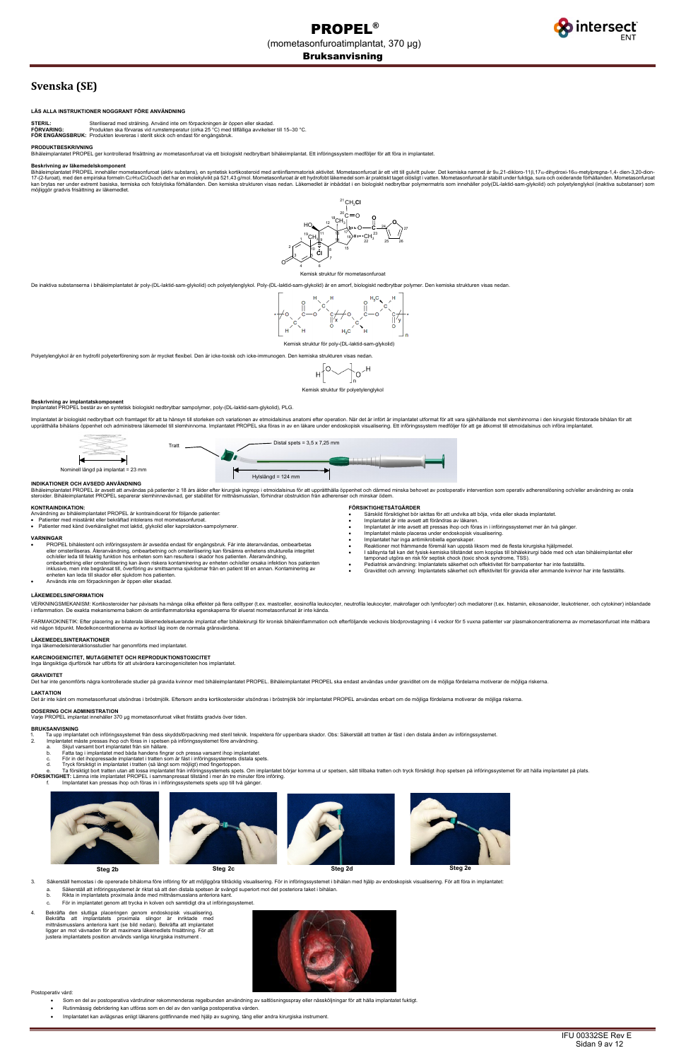

# **Svenska (SE)**

## **LÄS ALLA INSTRUKTIONER NOGGRANT FÖRE ANVÄNDNING**

STERIL: Steriliserad med strålning. Använd inte om förpackningen är öppen eller skadad.<br>FÖRVARING: Produkten ska förvaras vid rumstemperatur (cirka 25 °C) med tillfälliga avvikelser till 15–30 °C.<br>FÖR ENGÅNGSBRUK: Produkt

#### **PRODUKTBESKRIVNING**

Bihåleimplantatet PROPEL ger kontrollerad frisättning av mometasonfuroat via ett biologiskt nedbrytbart bihåleimplantat. Ett införingssystem medföljer för att föra in implantatet.

## **Beskrivning av läkemedelskomponent**

Bihåleimplantatet PROPEL innehåller mometasonfuroat (aktiv substans), en syntetisk kortikosteroid med antiinflammatorisk aktivitet. Mometasonfuroat är ett vitt till gulvitt pulver. Det kemiska namnet är 9a,21-dikloro-11β,1 17-(2-furoat), med den empiriska formeln C2rHзoCl2Osoch det har en molekylvikt på 521,43 g/mol. Mometasonfuroat är ett hydrofobt läkemedel som är praktiskt taget olösligt i vatten. Mometasonfuroat ar stabilt under fuktiga, möjliggör gradvis frisättning av läkemedlet.

De inaktiva substanserna i bihåleimplantatet är poly-(DL-laktid-sam-glykolid) och polyetylenglykol. Poly-(DL-laktid-sam-glykolid) är en amorf, biologiskt nedbrytbar polymer. Den kemiska strukturen visas nedan.



Polyetylenglykol är en hydrofil polyeterförening som är mycket flexibel. Den är icke-toxisk och icke-immunogen. Den kemiska strukturen visas nedar



**Beskrivning av implantatskomponent**<br>Implantatet PROPEL består av en syntetisk biologiskt nedbrytbar sampolymer, poly-(DL-laktid-sam-glykolid), PLG.

Implantatet är biologiskt nedbrytbart och framtaget för att ta hänsyn till storleken och variationen av etmoidalsinus anatomi efter operation. När det är infört är implantatet utformat för att vara självhållande mot slemhi upprätthålla bihålans öppenhet och administrera läkemedel till slemhinnoma. Implantatet PROPEL ska föras in av en läkare under endoskopisk visualisering. Ett införingssystem medföljer för att ge åtkomst till etmoidalsinus

- PROPEL bihålestent och införingssystem är avsedda endast för engångsbruk. Får inte återanvändas, ombearbetas<br>eller omsteriliseras. Återanvändning, ombearbetning och omsterilisering kan försämra enhetens strukturella int ombearbetning eller omsterilisering kan även riskera kontaminering av enheten och/eller orsaka infektion hos patienten<br>inklusive, men inte begränsat till, överföring av smittsamma sjukdomar från en patient till en annan. K
- **FÖRSIKTIGHETSÅTGÄRDER**
- Särskild försiktighet bör iakttas för att undvika att böja, vrida eller skada implantatet.
	- Implantatet är inte avsett att förändras av läkaren.
	- Implantatet är inte avsett att pressas ihop och föras in i införingssystemet mer än två gånger. • Implantatet måste placeras under endoskopisk visualisering.
	-
- Implantatet har inga antimikrobiella egenskaper. Reaktioner mot främmande föremål kan uppstå liksom med de flesta kirurgiska hjälpmedel.
- 
- 
- I sällsynta fall kan det fysisk-kemiska tillståndet som kopplas till bihålekirurgi både med och utan bihåleimplantat eller<br>• tamponad utgöra en risk för septisk chock (toxic shock syndrome, TSS).<br>● Pe
- Graviditet och amning: Implantatets säkerhet och effektivitet för gravida eller ammande kvinnor har inte fastställts.

## **INDIKATIONER OCH AVSEDD ANVÄNDNING**

Bihåleimplantatet PROPEL är avsett att användas på patienter ≥ 18 års ålder efter kirurgisk ingrepp i etmoidalsinus för att upprätthålla öppenhet och därmed minska behovet av postoperativ intervention som operativ adheren

#### **KONTRAINDIKATION:**

- Användning av bihåleimplantatet PROPEL är kontraindicerat för följande patienter: Patienter med misstänkt eller bekräftad intolerans mot mometasonfuroat.
- Patienter med känd överkänslighet mot laktid, glykolid eller kaprolakton-sampolymerer.

- 2. Implantatet måste pressas ihop och föras in i spetsen på införingssystemet före användning.
- a. Skjut varsamt bort implantatet från sin hållare.
- 
- b. Fatta tag i implantatet med båda handens fingrar och pressa varsamt ihop implantatet.<br>c. För in det ihoppressade implantatet i tratten som är fäst i införingssystemets distala spets.<br>d. Tryck försi
- e. Ta försiktigt bort tratten utan att lossa implantatet från införingssystemets spets. Om implantatet börjar komma ut ur spetsen, sätt tillbaka tratten och tryck försiktigt ihop spetsen på införingssystemet för att hålla
- 

#### **VARNINGAR**

• Används inte om förpackningen är öppen eller skadad.

# **LÄKEMEDELSINFORMATION**

VERKNINGSMEKANISM: Kortikosteroider har påvisats ha många olika effekter på flera celltyper (t.ex. mastceller, eosinofila leukocyter, neutrofila leukocyter, makrofager och lymfocyter) och mediatorer (t.ex. histamin, eikosa

FARMAKOKINETIK: Efter placering av bilaterala läkemedelseluerande implantat efter bihålekirurgi för kronisk bihåleinflammation och efterföljande veckovis blodprovstagning i 4 veckor för 5 vuxna patienter var plasmakoncentr



## **LÄKEMEDELSINTERAKTIONER**

ledelsinteraktionsstudier har genomförts med implantatet.



**KARCINOGENICITET, MUTAGENITET OCH REPRODUKTIONSTOXICITET** Inga långsiktiga djurförsök har utförts för att utvärdera karcinogeniciteten hos implantatet.

## **GRAVIDITET**

Det har inte genomförts några kontrollerade studier på gravida kvinnor med bihåleimplantatet PROPEL. Bihåleimplantatet PROPEL ska endast användas under graviditet om de möjliga fördelarna motiverar de möjliga riskerna.

## **LAKTATION**

Det är inte känt om mometasonfuroat utsöndras i bröstmjölk. Eftersom andra kortikosteroider utsöndras i bröstmjölk bör implantatet PROPEL användas enbart om de möjliga fördelarna motiverar de möjliga riskerna.

ller 370 µg mometasonfuroat vilket fristätts gradvis över tiden.

# **DOSERING OCH ADMINISTRATION**

## **BRUKSANVISNING**

1. Ta upp implantatet och införingssystemet från dess skyddsförpackning med steril teknik. Inspektera för uppenbara skador. Obs: Säkerställ att tratten är fäst i den distala änden av införingssystemet<br>2. Implantatet måste

- - f. Implantatet kan pressas ihop och föras in i införingssystemets spets upp till två gånger.



- 3. Säkerställ hemostas i de opererade bihålorna före införing för att möjliggöra tillräcklig visualisering. För in införingssystemet i bihålan med hjälp av endoskopisk visualisering. För att föra in implantatet:
	- a. Säkerställ att införingssystemet är riktat så att den distala spetsen är svängd superiort mot det posteriora taket i bihålan.
	- Rikta in implantatets proximala ände med mittnäsmusslans anteriora kant.
	- För in implantatet genom att trycka in kolven och samtidigt dra ut införingssystemet.
- 4. Bekräfta den slutliga placeringen genom endoskopisk visualisering. Bekräfta att implantatets proximala slingor är inriktade med mittnäsmusslans anteriora kant (se bild nedan). Bekräfta att implantatet ligger an mot vävnaden för att maximera läkemedlets frisättning. För att justera implantatets position används vanliga kirurgiska instrument .



### Postoperativ vård:

- Som en del av postoperativa vårdrutiner rekommenderas regelbunden användning av saltlösningsspray eller nässköljningar för att hålla implantatet fuktigt.
- Rutinmässig debridering kan utföras som en del av den vanliga postoperativa vården.
- Implantatet kan avlägsnas enligt läkarens gottfinnande med hjälp av sugning, tång eller andra kirurgiska instrument.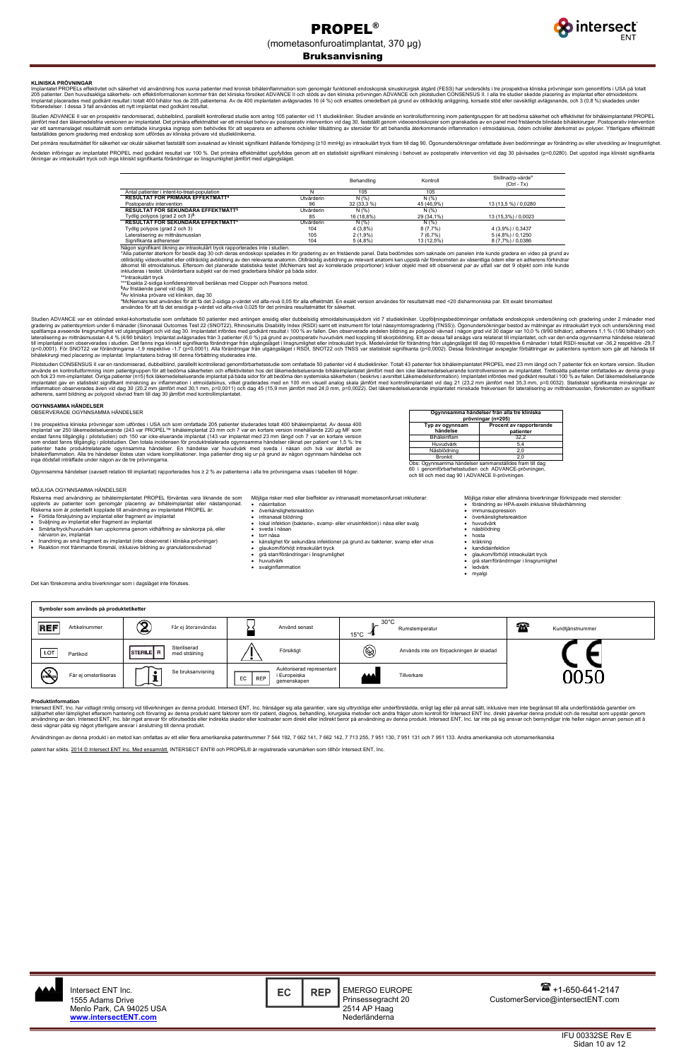

## Bruksanvisning

IFU 00332SE Rev E Sidan 10 av 12

## **KLINISKA PRÖVNINGAR**

Implantatet PROPELs effektivitet och säkerhet vid användning hos vuxna patienter med kronisk bihåleinflammation som genomgår funktionell endoskopisk sinuskirurgisk åtgärd (FESS) har undersökts i tre prospektiva kliniska pr 205 patienter. Den huvudsakliga säkerhets- och effektinformationen kommer från det kliniska försöket ADVANCE II och stöds av den kliniska prövningen ADVANCE och pilotstudien CONSENSUS II. I alla tre studier skedde placerin

Studien ADVANCE II var en prospektiv randomiserad, dubbelblind, parallellt kontrollerad studie som antog 105 patienter vid 11 studiekliniker. Studien använde en kontrollutformning inom patientgruppen för att bedöma säkerhe fastställdes genom gradering med endoskop som utfördes av kliniska prövare vid studieklinikerna.

Det primära resultatmåttet för säkerhet var okulär säkerhet fastställt som avsaknad av kliniskt signifikant ihållande förhöjning (≥10 mmHg) av intraokulärt tryck fram till dag 90. Ögonundersökningar omfattade även bedömnin Andelen införingar av implantatet PROPEL med godkänt resultat var 100 %. Det primära effektmåttet uppfylldes genom att en statistiskt signifikant minskning i behovet av postoperativ intervention vid dag 30 påvisades (p=0,0 ökningar av intraokulärt tryck och inga kliniskt signifikanta förändringar av linsgrumlighet jämfört med utgångsläget.

|                                                |                   | Behandling  | Kontroll   | Skillnad/p-värde <sup>a</sup><br>$(CtrI - Tx)$ |
|------------------------------------------------|-------------------|-------------|------------|------------------------------------------------|
| Antal patienter i intent-to-treat-population   |                   | 105         | 105        |                                                |
| RESULTAT FÖR PRIMÄRA EFFEKTMÅTT <sup>§</sup>   | Utvärderin        | N(% )       | N(% )      |                                                |
| Postoperativ intervention                      | 96                | 32 (33,3 %) | 45 (46,9%) | 13 (13,5 %) / 0,0280                           |
| RESULTAT FÖR SEKUNDÄRA EFFEKTMÄTTS             | <b>Utvärderin</b> | N(% )       | N(% )      |                                                |
| Tydlig polypos (grad 2 och $3$ ) <sup>§</sup>  | 85                | 16 (18,8%)  | 29 (34,1%) | 13 (15.3%) / 0.0023                            |
| RESULTAT FÖR SEKUNDÄRA EFFEKTMÅTT <sup>I</sup> | Utvärderin        | N(% )       | N(%)       |                                                |
| Tydlig polypos (grad 2 och 3)                  | 104               | 4(3,8%)     | 8(7,7%)    | 4 (3,9%) / 0,3437                              |
| Lateralisering av mittnäsmusslan               | 105               | $2(1,9\%)$  | 7(6,7%)    | $5(4,8\%)/0,1250$                              |
| Signifikanta adherenser                        | 104               | 5(4,8%)     | 13 (12,5%) | 8 (7,7%) / 0,0386                              |

Någon signifikant ökning av intraokulärt tryck rapporterades inte i studien.

\*Alla patienter återkom för besök dag 30 och deras endoskopi spelades in för gradering av en fristående panel. Data bedömdes som saknade om panelen inte kunde gradera en video på grund av otillräcklig videokvalitet eller otillräcklig avbildning av den relevanta anatomin. Otillräcklig avbildning av relevant anatomi kan uppstå när förekomsten av väsentliga ödem eller en adherens förhindrar<br>åtkomst till etmoid inkluderas i testet. Utvärderbara subjekt var de med graderbara bihålor på båda sidor.

\*\*Intraokulärt tryck<br>\*\*\*Exakta 2-sidiga konfidensintervall beräknas med Clopper och Pearsons metod.<br><sup>§</sup>↑∨ fristående papel vid dag 30.

Av fristående panel vid dag 30 **±** Av kliniska prövare vid kliniken, dag 30

a McNemars test användes för att få det 2-sidiga p-värdet vid alfa-nivå 0,05 för alla effektmått. En exakt version användes för resultatmått med <20 disharmoniska par. Ett exakt binomialtest användes för att få det ensidiga p-värdet vid alfa-nivå 0,025 för det primära resultatmåttet för säkerhet.

Studien ADVANCE var en oblindad enkel-kohortsstudie som omfattade 50 patienter med antingen ensidig eller dubbelsidig etmoidalsinussjukdom vid 7 studiekliniker. Uppföljningsbedömningar omfattade endoskopisk undersökning o (p<0,0001). För SNOT22 var förändringarna -1,9 respektive -1,7 (p<0,0001). Alla förändringar från utgångsläget i RSDI, SNOT22 och TNSS var statistiskt signifikanta (p<0,0002). Dessa förändringar avspeglar förbättringar av

Pilotstudien CONSENSUS II var en randomiserad, dubbelblind, parallellt kontrollerad genomförbarhetsstudie som omfattade 50 patienter vid 4 studiekliniker. Totalt 43 patienter fick bihåleimplantatet PROPEL med 23 mm längd o använde en kontrollutformning inom patientgruppen för att bedöma säkerheten och effektiviteten hos det läkemedelseluerande bihåleimplantatet jämfört med den icke läkemedelseluerande kontrollversionen av implantatet. Tretti

#### **OGYNNSAMMA HÄNDELSER**

OBSERVERADE OGYNNSAMMA HÄNDELSER

I tre prospektiva kliniska prövningar som utfördes i USA och som omfattade 205 patienter studerades totalt 400 bihåleimplantat. Av dessa 400 implantat var 250 läkemedelseluerande (243 var PROPEL™ bihåleimplantat 23 mm och 7 var en kortare version innehållande 220 µg MF som<br>endast fanns tillgänglig i pilotstudien) och 150 var icke-eluerande implantat (143 var i inga dödsfall inträffade under någon av de tre prövningarna.

Ogynnsamma händelser (oavsett relation till implantat) rapporterades hos ≥ 2 % av patienterna i alla tre prövningarna visas i tabellen till höger.



Obs: Ogynnsamma händelser sammanställdes fram till dag 60 i genomförbarhetsstudien och ADVANCE-prövningen, och till och med dag 90 i ADVANCE II-prövningen.

## MÖJLIGA OGYNNSAMMA HÄNDELSER

Riskerna med användning av bihåleimplantatet PROPEL förväntas vara liknande de som upplevts av patienter som genomgår placering av bihåleimplantat eller nästamponad. Riskerna som är potentiellt kopplade till användning av implantatet PROPEL är:

• Förtida förskjutning av implantat eller fragment av implantat • Sväljning av implantat eller fragment av implantat

• Smärta/tryck/huvudvärk kan uppkomma genom vidhäftning av sårskorpa på, eller

närvaron av, implantat

• Inandning av små fragment av implantat (inte observerat i kliniska prövningar) • Reaktion mot främmande föremål, inklusive bildning av granulationsvävnad

Det kan förekomma andra biverkningar som i dagsläget inte förutses.

Möjliga risker med eller bieffekter av intranasalt mometasonfuroat inkluderar:

- näsirritation • överkänslighetsreaktion
	- intranasal blödning • lokal infektion (bakterie-, svamp- eller virusinfektion) i näsa eller svalg
- sveda i näsan
- torr näsa
- känslighet för sekundära infektioner på grund av bakterier, svamp eller virus
- glaukom/förhöjt intraokulärt tryck
- grå starr/förändringar i linsgrumlighet • huvudvärk
- svalginflammation

Möjliga risker eller allmänna biverkningar förknippade med steroider:

- förändring av HPA-axeln inklusive tillväxthämning • immunsuppression
- överkänslighetsreaktion
- 
- huvudvärk<br>• näsblödnir • näsblödning
- 
- hosta<br>• kräkni • kräkning
- kandidainfektion
- glaukom/förhöjt intraokulärt tryck
- grå starr/förändringar i linsgrumlighet
- ledvärk<br>• mvalgi • myalgi

| Symboler som används på produktetiketter |                                                    |                                                                              |                                                                 |                        |  |
|------------------------------------------|----------------------------------------------------|------------------------------------------------------------------------------|-----------------------------------------------------------------|------------------------|--|
| REF<br>Artikelnummer                     | $\widehat{\mathbf{2}}$<br>Får ej återanvändas      | Använd senast                                                                | $30^{\circ}$ C<br>$n -$<br>Rumstemperatur<br>15°C $\rightarrow$ | 55<br>Kundtjänstnummer |  |
| LOT<br>Partikod                          | Steriliserad<br>STERILE R<br>med strålning         | Försiktigt                                                                   | $^{\circledR}$<br>Används inte om förpackningen är skadad       |                        |  |
| <b>STERNZE</b><br>Får ej omsteriliseras  | $\sim$<br>Se bruksanvisning<br><b>STATE</b><br>سمس | Auktoriserad representant<br>i Europeiska<br><b>REP</b><br>EC<br>gemenskapen | ▲▲▲<br>Tillverkare                                              | nnrn                   |  |

#### **Produktinformation**

Intersect ENT, Inc. har vidtagit rimlig omsorg vid tillverkningen av denna produkt. Intersect ENT, Inc. frånsäger sig alla garantier, vare sig uttryckliga eller underförstådda, enligt lag eller på annat sätt, inklusive men säljbarhet eller lämplighet eftersom hantering och förvaring av denna produkt samt faktorer som rör patient, diagnos, behandling, kirurgiska metoder och andra frågor utom kontroll för Intersect ENT Inc. direkt paverkar den

Användningen av denna produkt i en metod kan omfattas av ett eller flera amerikanska patentnummer 7 544 192, 7 662 141, 7 662 142, 7 713 255, 7 951 130, 7 951 131 och 7 951 133. Andra amerikanska och utomamerikanska

patent har sökts. 2014 © Intersect ENT Inc. Med ensamrätt. INTERSECT ENT® och PROPEL® är registrerade varumärken som tillhör Intersect ENT, Inc.

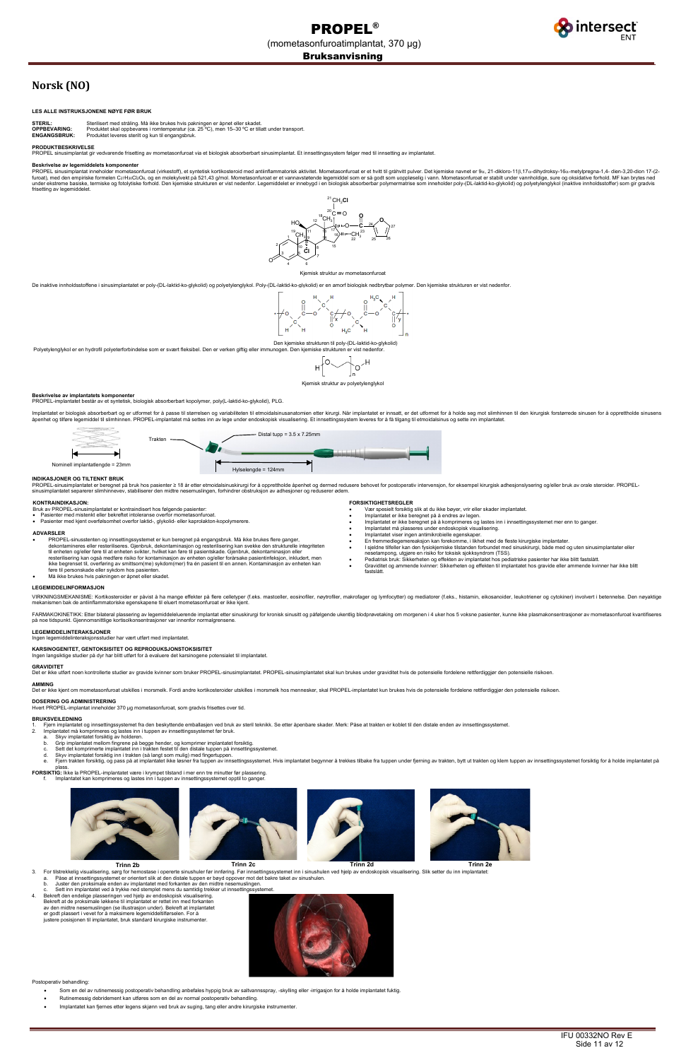

# **Norsk (NO)**

## **LES ALLE INSTRUKSJONENE NØYE FØR BRUK**

**STERIL:** Sterilisert med stråling. Må ikke brukes hvis pakningen er åpnet eller skadet.<br>**OPPBEVARING:** Produktet skal oppbevares i romtemperatur (ca. 25 °C), men 15–30 °C er till. **OPPBEVARING:** Produktet skal oppbevares i romtemperatur (ca. 25 °C), men 15–30 °C er tillatt under transport.<br>**ENGANGSBRUK:** Produktet leveres sterilt og kun til engangsbruk.

#### **PRODUKTBESKRIVELSE**

ROPEL sinusimplantat gir vedvarende frisetting av mometasonfuroat via et biologisk absorberbart sinusimplantat. Et innsettingssystem følger med til innsetting av implantatet

#### **Beskrivelse av legemiddelets komponenter**

PROPEL sinusimplantat inneholder mometasonfuroat (virkestoff), et syntetisk kortikosteroid med antiinflammatorisk aktivitet. Mometasonfuroat er et hvitt til gråhvitt pulver. Det kjemiske navnet er 9α, 21-dikloro-11β,17α-di under ekstreme basiske, termiske og fotolytiske forhold. Den kjemiske strukturen er vist nedenfor. Legemiddelet er innebygd i en biologisk absorberbar polymermatrise som inneholder poly-(DL-laktid-ko-glykolid) og polyetyle

Den kjemiske strukturen til poly-(DL-laktid-ko-glykolid) Polyetylenglykol er en hydrofil polyeterforbindelse som er svært fleksibel. Den er verken giftig eller immunogen. Den kjemiske strukturen er vist nedenfor

$$
H\left[0\diagdown\right]_{n}O^{\nearrow H}
$$

De inaktive innholdsstoffene i sinusimplantatet er poly-(DL-laktid-ko-glykolid) og polyetylenglykol. Poly-(DL-laktid-ko-glykolid) er en amorf biologisk nedbrytbar polymer. Den kjemiske strukturen er vist nedenfor.



## Kjemisk struktur av polyetylenglykol

- PROPEL-sinusstenten og innsettingssystemet er kun beregnet på engangsbruk. Må ikke brukes flere ganger,<br>dekontamineres eller resteriliseres. Gjenbruk, dekontaminasjon og resterilisering kan svekke den strukturelle integ til enheten og/eller føre til at enheten svikter, hvilket kan føre til pasientskade. Gjenbruk, dekontaminasjon eller<br>resterilisering kan også medføre risiko for kontaminasjon av enheten og/eller forårsake pasientinfeksjon, føre til personskade eller sykdom hos pasienter.
- Må ikke brukes hvis pakningen er åpnet eller skadet.

#### **Beskrivelse av implantatets komponenter** PROPEL-implantatet består av et syntetisk, biologisk absorberbart kopolymer, poly(L-laktid-ko-glykolid), PLG.

Implantatet er biologisk absorberbart og er utformet for å passe til størrelsen og variabiliteten til etmoidalsinusanatomien etter kirurgi. Når implantatet er innsatt, er det utformet for å holde seg mot slimhinnen til den åpenhet og tilføre legemiddel til slimhinnen. PROPEL-implantatet må settes inn av lege under endoskopisk visualisering. Et innsettingssystem leveres for å få tilgang til etmoidalsinus og sette inn implantatet.

> ● I sjeldne tilfeller kan den fysiokjemiske tilstanden forbundet med sinuskirurgi, både med og uten sinusimplantater eller<br>nesetampong, utgjøre en risiko for toksisk sjokksyndrom (TSS).<br>● Pediatrisk bruk: Sikkerheten • Graviditet og ammende kvinner: Sikkerheten og effekten til implantatet hos gravide eller ammende kvinner har ikke blitt

#### **INDIKASJONER OG TILTENKT BRUK**

PROPEL-sinusimplantatet er beregnet på bruk hos pasienter ≥ 18 år etter etmoidalsinuskirurgi for å opprettholde åpenhet og dermed redusere behovet for postoperativ intervensjon, for eksempel kirurgisk adhesjonslysering og

#### **KONTRAINDIKASJON:**

Bruk av PROPEL-sinusimplantatet er kontraindisert hos følgende pasienter:

• Pasienter med mistenkt eller bekreftet intoleranse overfor mometasonfuroat.

• Pasienter med kjent overfølsomhet overfor laktid-, glykolid- eller kaprolakton-kopolymerere.

#### **ADVARSLER**

**FORSIKTIGHETSREGLER**

• Vær spesielt forsiktig slik at du ikke bøyer, vrir eller skader implantatet.

• Implantatet er ikke beregnet på å endres av legen. • Implantatet er ikke beregnet på å komprimeres og lastes inn i innsettingssystemet mer enn to ganger.

- Trinn 2b Trinn 20 Trinn 20 Trinn 20 Trinn 20 Trinn 20 Trinn 20 Trinn 20 Trinn 20 Trinn 20 Trinn 20 Trinn 26 Trinn 26<br>3. For tilstrekkelig visualisering, sørg for hemostase i opererte sinushuler før innføring. Før innsettin
	- a. Påse at innsettingssystemet er orientert slik at den distale tuppen er bøyd oppover mot det bakre taket av sinushulen.
	- b. Juster den proksimale enden av implantatet med forkanten av den midtre nesemuslingen.
- Sett inn implantatet ved å trykke ned stemplet mens du samtidig trekker ut innsettings
- 4. Bekreft den endelige plasseringen ved hjelp av endoskopisk visualisering. Bekreft at de proksimale løkkene til implantatet er rettet inn med forkanten av den midtre nesemuslingen (se illustrasjon under). Bekreft at implantatet er godt plassert i vevet for å maksimere legemiddeltilførselen. For å justere posisjonen til implantatet, bruk standard kirurgiske instrumenter.



• Implantatet må plasseres under endoskopisk visualisering. • Implantatet viser ingen antimikrobielle egenskaper.

• En fremmedlegemereaksjon kan forekomme, i likhet med de fleste kirurgiske implantater.

fastslått.

## **LEGEMIDDELINFORMASJON**

VIRKNINGSMEKANISME: Kortikosteroider er påvist å ha mange effekter på flere celletyper (f.eks. mastceller, eosinofiler, nøytrofiler, makrofager og lymfocytter) og mediatorer (f.eks., histamin, eikosanoider, leukotriener og

FARMAKOKINETIKK: Etter bilateral plassering av legemiddeleluerende implantat etter sinuskirurgi for kronisk sinusitt og påfølgende ukentlig blodprøvetaking om morgenen i 4 uker hos 5 voksne pasienter, kunne ikke plasmakons



### **LEGEMIDDELINTERAKSJONER**

Ingen legemiddelinteraksjonsstudier har vært utført med implantatet.

## **KARSINOGENITET, GENTOKSISITET OG REPRODUKSJONSTOKSISITET**

Ingen langsiktige studier på dyr har blitt utført for å evaluere det karsinogene potensialet til implantatet.

## **GRAVIDITET**

Det er ikke utført noen kontrollerte studier av gravide kvinner som bruker PROPEL-sinusimplantatet. PROPEL-sinusimplantatet skal kun brukes under graviditet hvis de potensielle fordelene rettferdiggjør den potensielle risi

#### **AMMING**

Det er ikke kjent om mometasonfuroat utskilles i morsmelk. Fordi andre kortikosteroider utskilles i morsmelk hos mennesker, skal PROPEL-implantatet kun brukes hvis de potensielle fordelene rettferdiggjør den potensielle ri

## **DOSERING OG ADMINISTRERING**

Hvert PROPEL-implantat inneholder 370 µg mometasonfuroat, som gradvis frisettes over tid

## **BRUKSVEILEDNING**

1. Fjern implantatet og innsettingssystemet fra den beskyttende emballasjen ved bruk av steril teknikk. Se etter åpenbare skader. Merk: Påse at trakten er koblet til den distale enden av innsettingssystemet.<br>2. Implantatet

- 
- 2. Implantatet må komprimeres og lastes inn i tuppen av innsettingssystemet før bruk. a. Skyv implantatet forsiktig av holderen. b. Grip implantatet mellom fingrene på begge hender, og komprimer implantatet forsiktig.
	- c. Sett det komprimerte implantatet inn i trakten festet til den distale tuppen på innsettingssystemet.<br>d. Skyv implantatet forsiktig inn i trakten (så langt som mulig) med fingertuppen.
	-
	- d. Skyv implantatet forsiktig inn i trakten (så langt som mulig) med fingertuppen.<br>e. Fjern trakten forsiktig, og pass på at implantatet ikke løsner fra tuppen av innsettingssystemet. Hvis implantatet begynner å trekkes ti plass.
- **FORSIKTIG:** Ikke la PROPEL-implantatet være i krympet tilstand i mer enn tre minutter før plassering.
	- f. Implantatet kan komprimeres og lastes inn i tuppen av innsettingssystemet opptil to ganger.



Postoperativ behandling:

- Som en del av rutinemessig postoperativ behandling anbefales hyppig bruk av saltvannsspray, -skylling eller -irrigasjon for å holde implantatet fuktig.
- Rutinemessig debridement kan utføres som en del av normal postoperativ behandling.
- Implantatet kan fjernes etter legens skjønn ved bruk av suging, tang eller andre kirurgiske instrumenter.